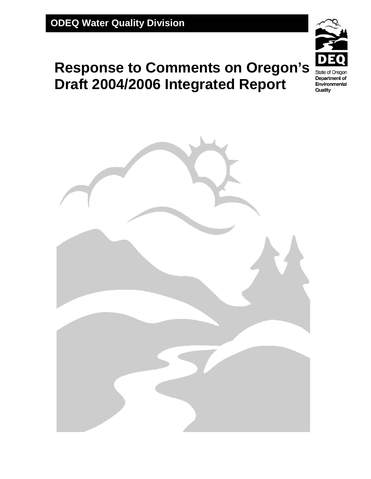# **Response to Comments on Oregon's Draft 2004/2006 Integrated Report**



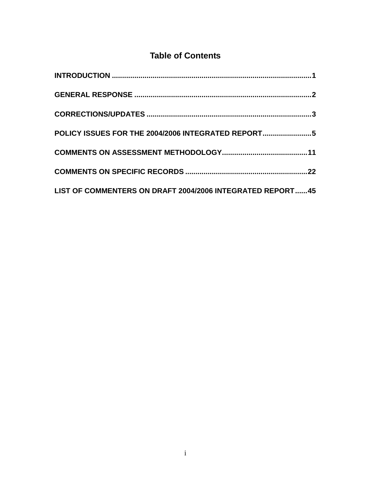## **Table of Contents**

| POLICY ISSUES FOR THE 2004/2006 INTEGRATED REPORT         |  |
|-----------------------------------------------------------|--|
|                                                           |  |
|                                                           |  |
| LIST OF COMMENTERS ON DRAFT 2004/2006 INTEGRATED REPORT45 |  |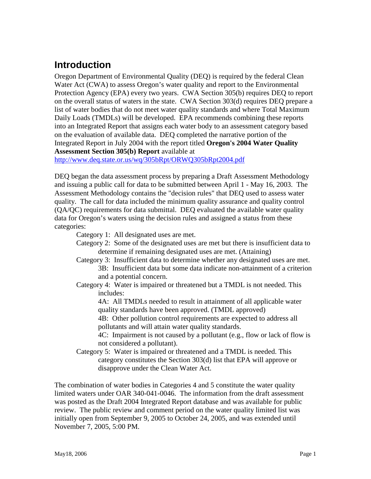## <span id="page-2-0"></span>**Introduction**

Oregon Department of Environmental Quality (DEQ) is required by the federal Clean Water Act (CWA) to assess Oregon's water quality and report to the Environmental Protection Agency (EPA) every two years. CWA Section 305(b) requires DEQ to report on the overall status of waters in the state. CWA Section 303(d) requires DEQ prepare a list of water bodies that do not meet water quality standards and where Total Maximum Daily Loads (TMDLs) will be developed. EPA recommends combining these reports into an Integrated Report that assigns each water body to an assessment category based on the evaluation of available data. DEQ completed the narrative portion of the Integrated Report in July 2004 with the report titled **Oregon's 2004 Water Quality Assessment Section 305(b) Report** available at

<http://www.deq.state.or.us/wq/305bRpt/ORWQ305bRpt2004.pdf>

DEQ began the data assessment process by preparing a Draft Assessment Methodology and issuing a public call for data to be submitted between April 1 - May 16, 2003. The Assessment Methodology contains the "decision rules" that DEQ used to assess water quality. The call for data included the minimum quality assurance and quality control (QA/QC) requirements for data submittal. DEQ evaluated the available water quality data for Oregon's waters using the decision rules and assigned a status from these categories:

Category 1: All designated uses are met.

- Category 2: Some of the designated uses are met but there is insufficient data to determine if remaining designated uses are met. (Attaining)
- Category 3: Insufficient data to determine whether any designated uses are met. 3B: Insufficient data but some data indicate non-attainment of a criterion and a potential concern.
- Category 4: Water is impaired or threatened but a TMDL is not needed. This includes:

4A: All TMDLs needed to result in attainment of all applicable water quality standards have been approved. (TMDL approved)

4B: Other pollution control requirements are expected to address all pollutants and will attain water quality standards.

4C: Impairment is not caused by a pollutant (e.g., flow or lack of flow is not considered a pollutant).

Category 5: Water is impaired or threatened and a TMDL is needed. This category constitutes the Section 303(d) list that EPA will approve or disapprove under the Clean Water Act.

The combination of water bodies in Categories 4 and 5 constitute the water quality limited waters under OAR 340-041-0046. The information from the draft assessment was posted as the Draft 2004 Integrated Report database and was available for public review. The public review and comment period on the water quality limited list was initially open from September 9, 2005 to October 24, 2005, and was extended until November 7, 2005, 5:00 PM.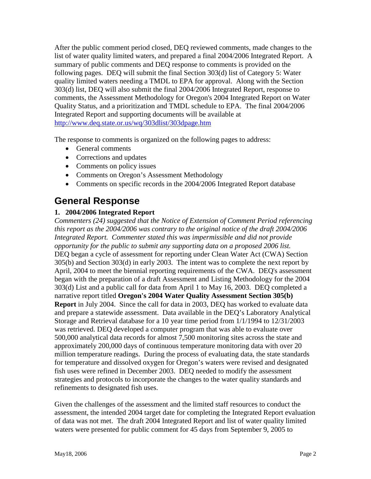After the public comment period closed, DEQ reviewed comments, made changes to the list of water quality limited waters, and prepared a final 2004/2006 Integrated Report. A summary of public comments and DEQ response to comments is provided on the following pages. DEQ will submit the final Section 303(d) list of Category 5: Water quality limited waters needing a TMDL to EPA for approval. Along with the Section 303(d) list, DEQ will also submit the final 2004/2006 Integrated Report, response to comments, the Assessment Methodology for Oregon's 2004 Integrated Report on Water Quality Status, and a prioritization and TMDL schedule to EPA. The final 2004/2006 Integrated Report and supporting documents will be available at <http://www.deq.state.or.us/wq/303dlist/303dpage.htm>

The response to comments is organized on the following pages to address:

- General comments
- Corrections and updates
- Comments on policy issues
- Comments on Oregon's Assessment Methodology
- Comments on specific records in the 2004/2006 Integrated Report database

### <span id="page-3-0"></span>**General Response**

#### **1. 2004/2006 Integrated Report**

*Commenters (24) suggested that the Notice of Extension of Comment Period referencing this report as the 2004/2006 was contrary to the original notice of the draft 2004/2006 Integrated Report. Commenter stated this was impermissible and did not provide opportunity for the public to submit any supporting data on a proposed 2006 list.* DEQ began a cycle of assessment for reporting under Clean Water Act (CWA) Section 305(b) and Section 303(d) in early 2003. The intent was to complete the next report by April, 2004 to meet the biennial reporting requirements of the CWA. DEQ's assessment began with the preparation of a draft Assessment and Listing Methodology for the 2004 303(d) List and a public call for data from April 1 to May 16, 2003. DEQ completed a narrative report titled **Oregon's 2004 Water Quality Assessment Section 305(b) Report** in July 2004. Since the call for data in 2003, DEQ has worked to evaluate data and prepare a statewide assessment. Data available in the DEQ's Laboratory Analytical Storage and Retrieval database for a 10 year time period from 1/1/1994 to 12/31/2003 was retrieved. DEQ developed a computer program that was able to evaluate over 500,000 analytical data records for almost 7,500 monitoring sites across the state and approximately 200,000 days of continuous temperature monitoring data with over 20 million temperature readings. During the process of evaluating data, the state standards for temperature and dissolved oxygen for Oregon's waters were revised and designated fish uses were refined in December 2003. DEQ needed to modify the assessment strategies and protocols to incorporate the changes to the water quality standards and refinements to designated fish uses.

Given the challenges of the assessment and the limited staff resources to conduct the assessment, the intended 2004 target date for completing the Integrated Report evaluation of data was not met. The draft 2004 Integrated Report and list of water quality limited waters were presented for public comment for 45 days from September 9, 2005 to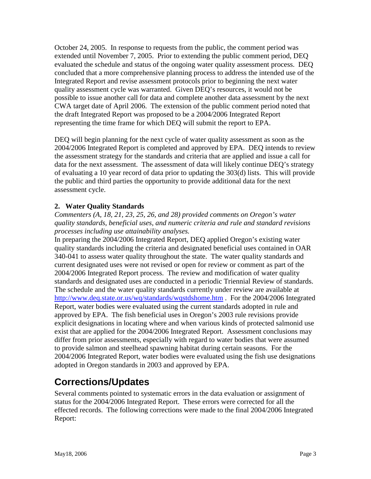October 24, 2005. In response to requests from the public, the comment period was extended until November 7, 2005. Prior to extending the public comment period, DEQ evaluated the schedule and status of the ongoing water quality assessment process. DEQ concluded that a more comprehensive planning process to address the intended use of the Integrated Report and revise assessment protocols prior to beginning the next water quality assessment cycle was warranted. Given DEQ's resources, it would not be possible to issue another call for data and complete another data assessment by the next CWA target date of April 2006. The extension of the public comment period noted that the draft Integrated Report was proposed to be a 2004/2006 Integrated Report representing the time frame for which DEQ will submit the report to EPA.

DEQ will begin planning for the next cycle of water quality assessment as soon as the 2004/2006 Integrated Report is completed and approved by EPA. DEQ intends to review the assessment strategy for the standards and criteria that are applied and issue a call for data for the next assessment. The assessment of data will likely continue DEQ's strategy of evaluating a 10 year record of data prior to updating the 303(d) lists. This will provide the public and third parties the opportunity to provide additional data for the next assessment cycle.

#### **2. Water Quality Standards**

*Commenters (A, 18, 21, 23, 25, 26, and 28) provided comments on Oregon's water quality standards, beneficial uses, and numeric criteria and rule and standard revisions processes including use attainability analyses.* 

In preparing the 2004/2006 Integrated Report, DEQ applied Oregon's existing water quality standards including the criteria and designated beneficial uses contained in OAR 340-041 to assess water quality throughout the state. The water quality standards and current designated uses were not revised or open for review or comment as part of the 2004/2006 Integrated Report process. The review and modification of water quality standards and designated uses are conducted in a periodic Triennial Review of standards. The schedule and the water quality standards currently under review are available at <http://www.deq.state.or.us/wq/standards/wqstdshome.htm>. For the 2004/2006 Integrated Report, water bodies were evaluated using the current standards adopted in rule and approved by EPA. The fish beneficial uses in Oregon's 2003 rule revisions provide explicit designations in locating where and when various kinds of protected salmonid use exist that are applied for the 2004/2006 Integrated Report. Assessment conclusions may differ from prior assessments, especially with regard to water bodies that were assumed to provide salmon and steelhead spawning habitat during certain seasons. For the 2004/2006 Integrated Report, water bodies were evaluated using the fish use designations adopted in Oregon standards in 2003 and approved by EPA.

## <span id="page-4-0"></span>**Corrections/Updates**

Several comments pointed to systematic errors in the data evaluation or assignment of status for the 2004/2006 Integrated Report. These errors were corrected for all the effected records. The following corrections were made to the final 2004/2006 Integrated Report: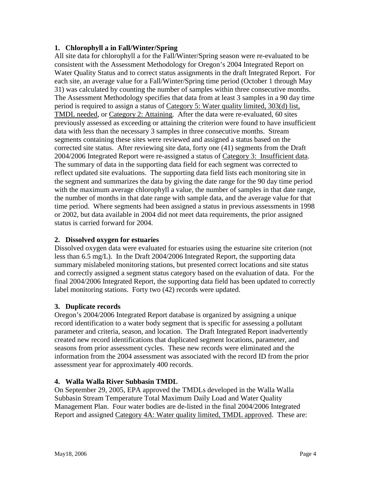#### **1. Chlorophyll a in Fall/Winter/Spring**

All site data for chlorophyll a for the Fall/Winter/Spring season were re-evaluated to be consistent with the Assessment Methodology for Oregon's 2004 Integrated Report on Water Quality Status and to correct status assignments in the draft Integrated Report. For each site, an average value for a Fall/Winter/Spring time period (October 1 through May 31) was calculated by counting the number of samples within three consecutive months. The Assessment Methodology specifies that data from at least 3 samples in a 90 day time period is required to assign a status of Category 5: Water quality limited, 303(d) list, TMDL needed, or Category 2: Attaining. After the data were re-evaluated, 60 sites previously assessed as exceeding or attaining the criterion were found to have insufficient data with less than the necessary 3 samples in three consecutive months. Stream segments containing these sites were reviewed and assigned a status based on the corrected site status. After reviewing site data, forty one (41) segments from the Draft 2004/2006 Integrated Report were re-assigned a status of Category 3: Insufficient data. The summary of data in the supporting data field for each segment was corrected to reflect updated site evaluations. The supporting data field lists each monitoring site in the segment and summarizes the data by giving the date range for the 90 day time period with the maximum average chlorophyll a value, the number of samples in that date range, the number of months in that date range with sample data, and the average value for that time period. Where segments had been assigned a status in previous assessments in 1998 or 2002, but data available in 2004 did not meet data requirements, the prior assigned status is carried forward for 2004.

#### **2. Dissolved oxygen for estuaries**

Dissolved oxygen data were evaluated for estuaries using the estuarine site criterion (not less than 6.5 mg/L). In the Draft 2004/2006 Integrated Report, the supporting data summary mislabeled monitoring stations, but presented correct locations and site status and correctly assigned a segment status category based on the evaluation of data. For the final 2004/2006 Integrated Report, the supporting data field has been updated to correctly label monitoring stations. Forty two (42) records were updated.

#### **3. Duplicate records**

Oregon's 2004/2006 Integrated Report database is organized by assigning a unique record identification to a water body segment that is specific for assessing a pollutant parameter and criteria, season, and location. The Draft Integrated Report inadvertently created new record identifications that duplicated segment locations, parameter, and seasons from prior assessment cycles. These new records were eliminated and the information from the 2004 assessment was associated with the record ID from the prior assessment year for approximately 400 records.

#### **4. Walla Walla River Subbasin TMDL**

On September 29, 2005, EPA approved the TMDLs developed in the Walla Walla Subbasin Stream Temperature Total Maximum Daily Load and Water Quality Management Plan. Four water bodies are de-listed in the final 2004/2006 Integrated Report and assigned Category 4A: Water quality limited, TMDL approved. These are: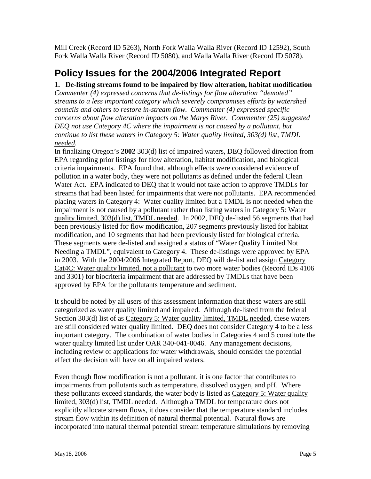Mill Creek (Record ID 5263), North Fork Walla Walla River (Record ID 12592), South Fork Walla Walla River (Record ID 5080), and Walla Walla River (Record ID 5078).

## <span id="page-6-0"></span>**Policy Issues for the 2004/2006 Integrated Report**

#### **1. De-listing streams found to be impaired by flow alteration, habitat modification**

*Commenter (4) expressed concerns that de-listings for flow alteration "demoted" streams to a less important category which severely compromises efforts by watershed councils and others to restore in-stream flow. Commenter (4) expressed specific concerns about flow alteration impacts on the Marys River. Commenter (25) suggested DEQ not use Category 4C where the impairment is not caused by a pollutant, but continue to list these waters in Category 5: Water quality limited, 303(d) list, TMDL needed.* 

In finalizing Oregon's **2002** 303(d) list of impaired waters, DEQ followed direction from EPA regarding prior listings for flow alteration, habitat modification, and biological criteria impairments. EPA found that, although effects were considered evidence of pollution in a water body, they were not pollutants as defined under the federal Clean Water Act. EPA indicated to DEQ that it would not take action to approve TMDLs for streams that had been listed for impairments that were not pollutants. EPA recommended placing waters in Category 4: Water quality limited but a TMDL is not needed when the impairment is not caused by a pollutant rather than listing waters in Category 5: Water quality limited, 303(d) list, TMDL needed. In 2002, DEQ de-listed 56 segments that had been previously listed for flow modification, 207 segments previously listed for habitat modification, and 10 segments that had been previously listed for biological criteria. These segments were de-listed and assigned a status of "Water Quality Limited Not Needing a TMDL", equivalent to Category 4. These de-listings were approved by EPA in 2003. With the 2004/2006 Integrated Report, DEQ will de-list and assign Category Cat4C: Water quality limited, not a pollutant to two more water bodies (Record IDs 4106 and 3301) for biocriteria impairment that are addressed by TMDLs that have been approved by EPA for the pollutants temperature and sediment.

It should be noted by all users of this assessment information that these waters are still categorized as water quality limited and impaired. Although de-listed from the federal Section 303(d) list of as Category 5: Water quality limited, TMDL needed, these waters are still considered water quality limited. DEQ does not consider Category 4 to be a less important category. The combination of water bodies in Categories 4 and 5 constitute the water quality limited list under OAR 340-041-0046. Any management decisions, including review of applications for water withdrawals, should consider the potential effect the decision will have on all impaired waters.

Even though flow modification is not a pollutant, it is one factor that contributes to impairments from pollutants such as temperature, dissolved oxygen, and pH. Where these pollutants exceed standards, the water body is listed as Category 5: Water quality limited, 303(d) list, TMDL needed. Although a TMDL for temperature does not explicitly allocate stream flows, it does consider that the temperature standard includes stream flow within its definition of natural thermal potential. Natural flows are incorporated into natural thermal potential stream temperature simulations by removing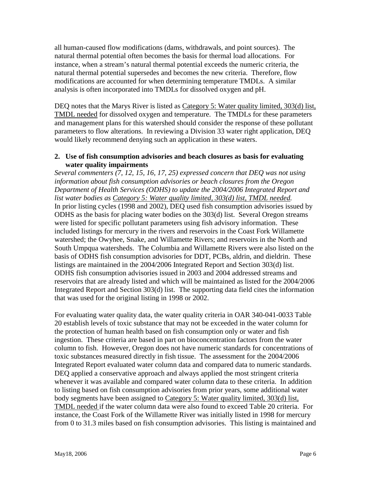all human-caused flow modifications (dams, withdrawals, and point sources). The natural thermal potential often becomes the basis for thermal load allocations. For instance, when a stream's natural thermal potential exceeds the numeric criteria, the natural thermal potential supersedes and becomes the new criteria. Therefore, flow modifications are accounted for when determining temperature TMDLs. A similar analysis is often incorporated into TMDLs for dissolved oxygen and pH.

DEQ notes that the Marys River is listed as Category 5: Water quality limited, 303(d) list, TMDL needed for dissolved oxygen and temperature. The TMDLs for these parameters and management plans for this watershed should consider the response of these pollutant parameters to flow alterations. In reviewing a Division 33 water right application, DEQ would likely recommend denying such an application in these waters.

#### **2. Use of fish consumption advisories and beach closures as basis for evaluating water quality impairments**

*Several commenters (7, 12, 15, 16, 17, 25) expressed concern that DEQ was not using information about fish consumption advisories or beach closures from the Oregon Department of Health Services (ODHS) to update the 2004/2006 Integrated Report and list water bodies as Category 5: Water quality limited, 303(d) list, TMDL needed.*  In prior listing cycles (1998 and 2002), DEQ used fish consumption advisories issued by ODHS as the basis for placing water bodies on the 303(d) list. Several Oregon streams were listed for specific pollutant parameters using fish advisory information. These included listings for mercury in the rivers and reservoirs in the Coast Fork Willamette watershed; the Owyhee, Snake, and Willamette Rivers; and reservoirs in the North and South Umpqua watersheds. The Columbia and Willamette Rivers were also listed on the basis of ODHS fish consumption advisories for DDT, PCBs, aldrin, and dieldrin. These listings are maintained in the 2004/2006 Integrated Report and Section 303(d) list. ODHS fish consumption advisories issued in 2003 and 2004 addressed streams and reservoirs that are already listed and which will be maintained as listed for the 2004/2006 Integrated Report and Section 303(d) list. The supporting data field cites the information that was used for the original listing in 1998 or 2002.

For evaluating water quality data, the water quality criteria in OAR 340-041-0033 Table 20 establish levels of toxic substance that may not be exceeded in the water column for the protection of human health based on fish consumption only or water and fish ingestion. These criteria are based in part on bioconcentration factors from the water column to fish. However, Oregon does not have numeric standards for concentrations of toxic substances measured directly in fish tissue. The assessment for the 2004/2006 Integrated Report evaluated water column data and compared data to numeric standards. DEQ applied a conservative approach and always applied the most stringent criteria whenever it was available and compared water column data to these criteria. In addition to listing based on fish consumption advisories from prior years, some additional water body segments have been assigned to Category 5: Water quality limited, 303(d) list, TMDL needed if the water column data were also found to exceed Table 20 criteria. For instance, the Coast Fork of the Willamette River was initially listed in 1998 for mercury from 0 to 31.3 miles based on fish consumption advisories. This listing is maintained and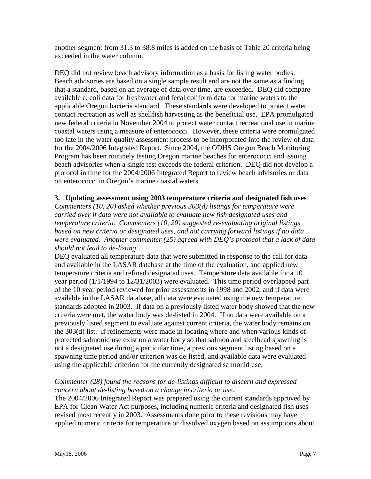another segment from 31.3 to 38.8 miles is added on the basis of Table 20 criteria being exceeded in the water column.

DEQ did not review beach advisory information as a basis for listing water bodies. Beach advisories are based on a single sample result and are not the same as a finding that a standard, based on an average of data over time, are exceeded. DEQ did compare available e. coli data for freshwater and fecal coliform data for marine waters to the applicable Oregon bacteria standard. These standards were developed to protect water contact recreation as well as shellfish harvesting as the beneficial use. EPA promulgated new federal criteria in November 2004 to protect water contact recreational use in marine coastal waters using a measure of enterococci. However, these criteria were promulgated too late in the water quality assessment process to be incorporated into the review of data for the 2004/2006 Integrated Report. Since 2004, the ODHS Oregon Beach Monitoring Program has been routinely testing Oregon marine beaches for enterococci and issuing beach advisories when a single test exceeds the federal criterion. DEQ did not develop a protocol in time for the 2004/2006 Integrated Report to review beach advisories or data on enterococci in Oregon's marine coastal waters.

#### **3. Updating assessment using 2003 temperature criteria and designated fish uses**

*Commenters (10, 20) asked whether previous 303(d) listings for temperature were carried over if data were not available to evaluate new fish designated uses and temperature criteria. Commenters (10, 20) suggested re-evaluating original listings based on new criteria or designated uses, and not carrying forward listings if no data were evaluated. Another commenter (25) agreed with DEQ's protocol that a lack of data should not lead to de-listing.* 

DEQ evaluated all temperature data that were submitted in response to the call for data and available in the LASAR database at the time of the evaluation, and applied new temperature criteria and refined designated uses. Temperature data available for a 10 year period (1/1/1994 to 12/31/2003) were evaluated. This time period overlapped part of the 10 year period reviewed for prior assessments in 1998 and 2002, and if data were available in the LASAR database, all data were evaluated using the new temperature standards adopted in 2003. If data on a previously listed water body showed that the new criteria were met, the water body was de-listed in 2004. If no data were available on a previously listed segment to evaluate against current criteria, the water body remains on the 303(d) list. If refinements were made in locating where and when various kinds of protected salmonid use exist on a water body so that salmon and steelhead spawning is not a designated use during a particular time, a previous segment listing based on a spawning time period and/or criterion was de-listed, and available data were evaluated using the applicable criterion for the currently designated salmonid use.

#### *Commenter (28) found the reasons for de-listings difficult to discern and expressed concern about de-listing based on a change in criteria or use.*

The 2004/2006 Integrated Report was prepared using the current standards approved by EPA for Clean Water Act purposes, including numeric criteria and designated fish uses revised most recently in 2003. Assessments done prior to these revisions may have applied numeric criteria for temperature or dissolved oxygen based on assumptions about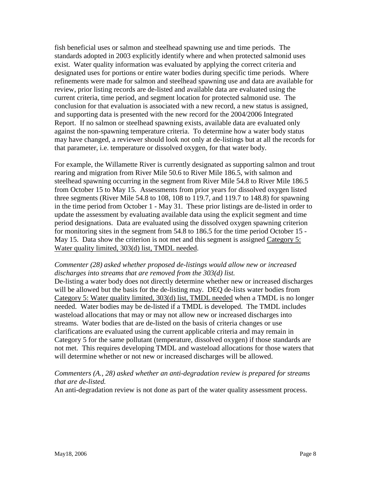fish beneficial uses or salmon and steelhead spawning use and time periods. The standards adopted in 2003 explicitly identify where and when protected salmonid uses exist. Water quality information was evaluated by applying the correct criteria and designated uses for portions or entire water bodies during specific time periods. Where refinements were made for salmon and steelhead spawning use and data are available for review, prior listing records are de-listed and available data are evaluated using the current criteria, time period, and segment location for protected salmonid use. The conclusion for that evaluation is associated with a new record, a new status is assigned, and supporting data is presented with the new record for the 2004/2006 Integrated Report. If no salmon or steelhead spawning exists, available data are evaluated only against the non-spawning temperature criteria. To determine how a water body status may have changed, a reviewer should look not only at de-listings but at all the records for that parameter, i.e. temperature or dissolved oxygen, for that water body.

For example, the Willamette River is currently designated as supporting salmon and trout rearing and migration from River Mile 50.6 to River Mile 186.5, with salmon and steelhead spawning occurring in the segment from River Mile 54.8 to River Mile 186.5 from October 15 to May 15. Assessments from prior years for dissolved oxygen listed three segments (River Mile 54.8 to 108, 108 to 119.7, and 119.7 to 148.8) for spawning in the time period from October 1 - May 31. These prior listings are de-listed in order to update the assessment by evaluating available data using the explicit segment and time period designations. Data are evaluated using the dissolved oxygen spawning criterion for monitoring sites in the segment from 54.8 to 186.5 for the time period October 15 - May 15. Data show the criterion is not met and this segment is assigned Category 5: Water quality limited, 303(d) list, TMDL needed.

#### *Commenter (28) asked whether proposed de-listings would allow new or increased discharges into streams that are removed from the 303(d) list.*

De-listing a water body does not directly determine whether new or increased discharges will be allowed but the basis for the de-listing may. DEQ de-lists water bodies from Category 5: Water quality limited, 303(d) list, TMDL needed when a TMDL is no longer needed. Water bodies may be de-listed if a TMDL is developed. The TMDL includes wasteload allocations that may or may not allow new or increased discharges into streams. Water bodies that are de-listed on the basis of criteria changes or use clarifications are evaluated using the current applicable criteria and may remain in Category 5 for the same pollutant (temperature, dissolved oxygen) if those standards are not met. This requires developing TMDL and wasteload allocations for those waters that will determine whether or not new or increased discharges will be allowed.

#### *Commenters (A., 28) asked whether an anti-degradation review is prepared for streams that are de-listed.*

An anti-degradation review is not done as part of the water quality assessment process.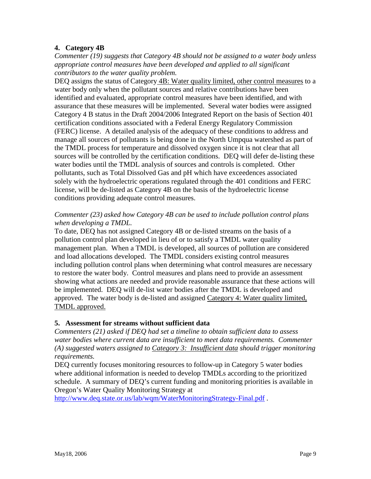#### **4. Category 4B**

*Commenter (19) suggests that Category 4B should not be assigned to a water body unless appropriate control measures have been developed and applied to all significant contributors to the water quality problem.* 

DEQ assigns the status of Category 4B: Water quality limited, other control measures to a water body only when the pollutant sources and relative contributions have been identified and evaluated, appropriate control measures have been identified, and with assurance that these measures will be implemented. Several water bodies were assigned Category 4 B status in the Draft 2004/2006 Integrated Report on the basis of Section 401 certification conditions associated with a Federal Energy Regulatory Commission (FERC) license. A detailed analysis of the adequacy of these conditions to address and manage all sources of pollutants is being done in the North Umpqua watershed as part of the TMDL process for temperature and dissolved oxygen since it is not clear that all sources will be controlled by the certification conditions. DEQ will defer de-listing these water bodies until the TMDL analysis of sources and controls is completed. Other pollutants, such as Total Dissolved Gas and pH which have exceedences associated solely with the hydroelectric operations regulated through the 401 conditions and FERC license, will be de-listed as Category 4B on the basis of the hydroelectric license conditions providing adequate control measures.

#### *Commenter (23) asked how Category 4B can be used to include pollution control plans when developing a TMDL.*

To date, DEQ has not assigned Category 4B or de-listed streams on the basis of a pollution control plan developed in lieu of or to satisfy a TMDL water quality management plan. When a TMDL is developed, all sources of pollution are considered and load allocations developed. The TMDL considers existing control measures including pollution control plans when determining what control measures are necessary to restore the water body. Control measures and plans need to provide an assessment showing what actions are needed and provide reasonable assurance that these actions will be implemented. DEQ will de-list water bodies after the TMDL is developed and approved. The water body is de-listed and assigned Category 4: Water quality limited, TMDL approved.

#### **5. Assessment for streams without sufficient data**

*Commenters (21) asked if DEQ had set a timeline to obtain sufficient data to assess water bodies where current data are insufficient to meet data requirements. Commenter (A) suggested waters assigned to Category 3: Insufficient data should trigger monitoring requirements.* 

DEQ currently focuses monitoring resources to follow-up in Category 5 water bodies where additional information is needed to develop TMDLs according to the prioritized schedule. A summary of DEQ's current funding and monitoring priorities is available in Oregon's Water Quality Monitoring Strategy at

http://www.deq.state.or.us/lab/wqm/WaterMonitoringStrategy-Final.pdf.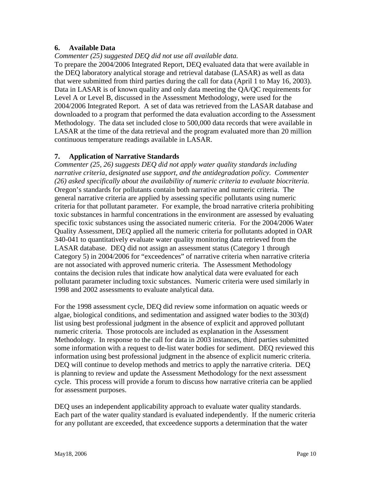#### **6. Available Data**

*Commenter (25) suggested DEQ did not use all available data.* 

To prepare the 2004/2006 Integrated Report, DEQ evaluated data that were available in the DEQ laboratory analytical storage and retrieval database (LASAR) as well as data that were submitted from third parties during the call for data (April 1 to May 16, 2003). Data in LASAR is of known quality and only data meeting the QA/QC requirements for Level A or Level B, discussed in the Assessment Methodology, were used for the 2004/2006 Integrated Report. A set of data was retrieved from the LASAR database and downloaded to a program that performed the data evaluation according to the Assessment Methodology. The data set included close to 500,000 data records that were available in LASAR at the time of the data retrieval and the program evaluated more than 20 million continuous temperature readings available in LASAR.

#### **7. Application of Narrative Standards**

*Commenter (25, 26) suggests DEQ did not apply water quality standards including narrative criteria, designated use support, and the antidegradation policy. Commenter (26) asked specifically about the availability of numeric criteria to evaluate biocriteria.*  Oregon's standards for pollutants contain both narrative and numeric criteria. The general narrative criteria are applied by assessing specific pollutants using numeric criteria for that pollutant parameter. For example, the broad narrative criteria prohibiting toxic substances in harmful concentrations in the environment are assessed by evaluating specific toxic substances using the associated numeric criteria. For the 2004/2006 Water Quality Assessment, DEQ applied all the numeric criteria for pollutants adopted in OAR 340-041 to quantitatively evaluate water quality monitoring data retrieved from the LASAR database. DEQ did not assign an assessment status (Category 1 through Category 5) in 2004/2006 for "exceedences" of narrative criteria when narrative criteria are not associated with approved numeric criteria. The Assessment Methodology contains the decision rules that indicate how analytical data were evaluated for each pollutant parameter including toxic substances. Numeric criteria were used similarly in 1998 and 2002 assessments to evaluate analytical data.

For the 1998 assessment cycle, DEQ did review some information on aquatic weeds or algae, biological conditions, and sedimentation and assigned water bodies to the 303(d) list using best professional judgment in the absence of explicit and approved pollutant numeric criteria. Those protocols are included as explanation in the Assessment Methodology. In response to the call for data in 2003 instances, third parties submitted some information with a request to de-list water bodies for sediment. DEQ reviewed this information using best professional judgment in the absence of explicit numeric criteria. DEQ will continue to develop methods and metrics to apply the narrative criteria. DEQ is planning to review and update the Assessment Methodology for the next assessment cycle. This process will provide a forum to discuss how narrative criteria can be applied for assessment purposes.

DEQ uses an independent applicability approach to evaluate water quality standards. Each part of the water quality standard is evaluated independently. If the numeric criteria for any pollutant are exceeded, that exceedence supports a determination that the water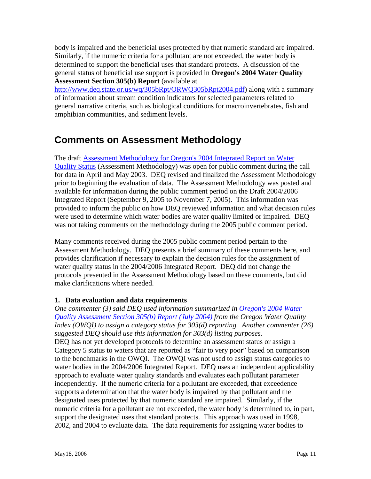body is impaired and the beneficial uses protected by that numeric standard are impaired. Similarly, if the numeric criteria for a pollutant are not exceeded, the water body is determined to support the beneficial uses that standard protects. A discussion of the general status of beneficial use support is provided in **Oregon's 2004 Water Quality Assessment Section 305(b) Report** (available at

[http://www.deq.state.or.us/wq/305bRpt/ORWQ305bRpt2004.pdf\)](http://www.deq.state.or.us/wq/305bRpt/ORWQ305bRpt2004.pdf) along with a summary of information about stream condition indicators for selected parameters related to general narrative criteria, such as biological conditions for macroinvertebrates, fish and amphibian communities, and sediment levels.

## <span id="page-12-0"></span>**Comments on Assessment Methodology**

The draft [Assessment Methodology for Oregon's 2004 Integrated Report on Water](http://www.deq.state.or.us/wq/303dlist/docs/AssessmentMethodology2004.pdf)  [Quality Status](http://www.deq.state.or.us/wq/303dlist/docs/AssessmentMethodology2004.pdf) (Assessment Methodology) was open for public comment during the call for data in April and May 2003. DEQ revised and finalized the Assessment Methodology prior to beginning the evaluation of data. The Assessment Methodology was posted and available for information during the public comment period on the Draft 2004/2006 Integrated Report (September 9, 2005 to November 7, 2005). This information was provided to inform the public on how DEQ reviewed information and what decision rules were used to determine which water bodies are water quality limited or impaired. DEQ was not taking comments on the methodology during the 2005 public comment period.

Many comments received during the 2005 public comment period pertain to the Assessment Methodology. DEQ presents a brief summary of these comments here, and provides clarification if necessary to explain the decision rules for the assignment of water quality status in the 2004/2006 Integrated Report. DEQ did not change the protocols presented in the Assessment Methodology based on these comments, but did make clarifications where needed.

#### **1. Data evaluation and data requirements**

*One commenter (3) said DEQ used information summarized in Oregon's 2004 Water [Quality Assessment Section 305\(b\) Report \(July 2004\)](http://www.deq.state.or.us/wq/305bRpt/ORWQ305bRpt2004.pdf) from the Oregon Water Quality Index (OWQI) to assign a category status for 303(d) reporting. Another commenter (26) suggested DEQ should use this information for 303(d) listing purposes.*  DEQ has not yet developed protocols to determine an assessment status or assign a Category 5 status to waters that are reported as "fair to very poor" based on comparison to the benchmarks in the OWQI. The OWQI was not used to assign status categories to water bodies in the 2004/2006 Integrated Report. DEQ uses an independent applicability approach to evaluate water quality standards and evaluates each pollutant parameter independently. If the numeric criteria for a pollutant are exceeded, that exceedence supports a determination that the water body is impaired by that pollutant and the designated uses protected by that numeric standard are impaired. Similarly, if the numeric criteria for a pollutant are not exceeded, the water body is determined to, in part, support the designated uses that standard protects. This approach was used in 1998, 2002, and 2004 to evaluate data. The data requirements for assigning water bodies to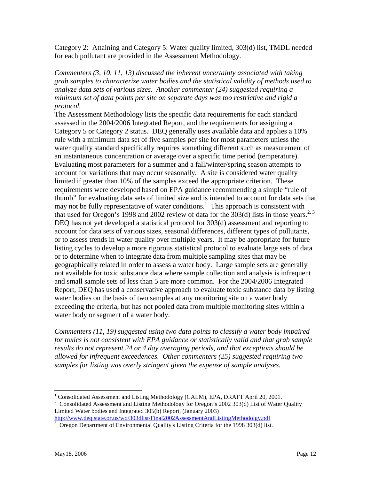Category 2: Attaining and Category 5: Water quality limited, 303(d) list, TMDL needed for each pollutant are provided in the Assessment Methodology.

*Commenters (3, 10, 11, 13) discussed the inherent uncertainty associated with taking grab samples to characterize water bodies and the statistical validity of methods used to analyze data sets of various sizes. Another commenter (24) suggested requiring a minimum set of data points per site on separate days was too restrictive and rigid a protocol.* 

The Assessment Methodology lists the specific data requirements for each standard assessed in the 2004/2006 Integrated Report, and the requirements for assigning a Category 5 or Category 2 status. DEQ generally uses available data and applies a 10% rule with a minimum data set of five samples per site for most parameters unless the water quality standard specifically requires something different such as measurement of an instantaneous concentration or average over a specific time period (temperature). Evaluating most parameters for a summer and a fall/winter/spring season attempts to account for variations that may occur seasonally. A site is considered water quality limited if greater than 10% of the samples exceed the appropriate criterion. These requirements were developed based on EPA guidance recommending a simple "rule of thumb" for evaluating data sets of limited size and is intended to account for data sets that may not be fully representative of water conditions.<sup>[1](#page-13-0)</sup> This approach is consistent with that used for Oregon's 1998 and 2002 review of data for the  $\frac{1}{2}$  1303(d) lists in those years.<sup>[2,](#page-13-1) 3</sup> DEQ has not yet developed a statistical protocol for 303(d) assessment and reporting to account for data sets of various sizes, seasonal differences, different types of pollutants, or to assess trends in water quality over multiple years. It may be appropriate for future listing cycles to develop a more rigorous statistical protocol to evaluate large sets of data or to determine when to integrate data from multiple sampling sites that may be geographically related in order to assess a water body. Large sample sets are generally not available for toxic substance data where sample collection and analysis is infrequent and small sample sets of less than 5 are more common. For the 2004/2006 Integrated Report, DEQ has used a conservative approach to evaluate toxic substance data by listing water bodies on the basis of two samples at any monitoring site on a water body exceeding the criteria, but has not pooled data from multiple monitoring sites within a water body or segment of a water body.

*Commenters (11, 19) suggested using two data points to classify a water body impaired for toxics is not consistent with EPA guidance or statistically valid and that grab sample results do not represent 24 or 4 day averaging periods, and that exceptions should be allowed for infrequent exceedences. Other commenters (25) suggested requiring two samples for listing was overly stringent given the expense of sample analyses.* 

 $\overline{a}$ 

<span id="page-13-0"></span><sup>&</sup>lt;sup>1</sup> Consolidated Assessment and Listing Methodology (CALM), EPA, DRAFT April 20, 2001.

<span id="page-13-1"></span><sup>&</sup>lt;sup>2</sup> Consolidated Assessment and Listing Methodology for Oregon's 2002 303(d) List of Water Quality Limited Water bodies and Integrated 305(b) Report, (January 2003)

http://www.deq.state.or.us/wq/303dlist/Final2002AssessmentAndListingMethodolgy.pdf<br><sup>3</sup> Oregon Department of Environmental Quality's Listing Criteria for the 1998 303(d) list.

<span id="page-13-2"></span>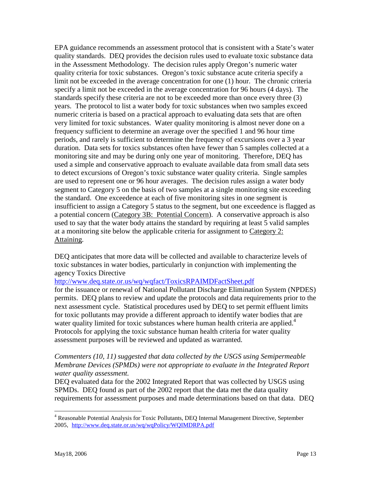EPA guidance recommends an assessment protocol that is consistent with a State's water quality standards. DEQ provides the decision rules used to evaluate toxic substance data in the Assessment Methodology. The decision rules apply Oregon's numeric water quality criteria for toxic substances. Oregon's toxic substance acute criteria specify a limit not be exceeded in the average concentration for one (1) hour. The chronic criteria specify a limit not be exceeded in the average concentration for 96 hours (4 days). The standards specify these criteria are not to be exceeded more than once every three (3) years. The protocol to list a water body for toxic substances when two samples exceed numeric criteria is based on a practical approach to evaluating data sets that are often very limited for toxic substances. Water quality monitoring is almost never done on a frequency sufficient to determine an average over the specified 1 and 96 hour time periods, and rarely is sufficient to determine the frequency of excursions over a 3 year duration. Data sets for toxics substances often have fewer than 5 samples collected at a monitoring site and may be during only one year of monitoring. Therefore, DEQ has used a simple and conservative approach to evaluate available data from small data sets to detect excursions of Oregon's toxic substance water quality criteria. Single samples are used to represent one or 96 hour averages. The decision rules assign a water body segment to Category 5 on the basis of two samples at a single monitoring site exceeding the standard. One exceedence at each of five monitoring sites in one segment is insufficient to assign a Category 5 status to the segment, but one exceedence is flagged as a potential concern (Category 3B: Potential Concern). A conservative approach is also used to say that the water body attains the standard by requiring at least 5 valid samples at a monitoring site below the applicable criteria for assignment to Category 2: Attaining.

DEQ anticipates that more data will be collected and available to characterize levels of toxic substances in water bodies, particularly in conjunction with implementing the agency Toxics Directive

<http://www.deq.state.or.us/wq/wqfact/ToxicsRPAIMDFactSheet.pdf>

for the issuance or renewal of National Pollutant Discharge Elimination System (NPDES) permits. DEQ plans to review and update the protocols and data requirements prior to the next assessment cycle. Statistical procedures used by DEQ to set permit effluent limits for toxic pollutants may provide a different approach to identify water bodies that are water quality limited for toxic substances where human health criteria are applied.<sup>[4](#page-14-0)</sup> Protocols for applying the toxic substance human health criteria for water quality assessment purposes will be reviewed and updated as warranted.

#### *Commenters (10, 11) suggested that data collected by the USGS using Semipermeable Membrane Devices (SPMDs) were not appropriate to evaluate in the Integrated Report water quality assessment.*

DEQ evaluated data for the 2002 Integrated Report that was collected by USGS using SPMDs. DEQ found as part of the 2002 report that the data met the data quality requirements for assessment purposes and made determinations based on that data. DEQ

 $\overline{a}$ 

<span id="page-14-0"></span><sup>&</sup>lt;sup>4</sup> Reasonable Potential Analysis for Toxic Pollutants, DEQ Internal Management Directive, September 2005, http://www.deq.state.or.us/wq/wqPolicy/WQIMDRPA.pdf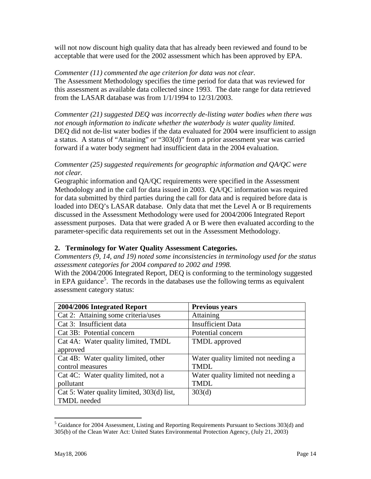will not now discount high quality data that has already been reviewed and found to be acceptable that were used for the 2002 assessment which has been approved by EPA.

#### *Commenter (11) commented the age criterion for data was not clear.*

The Assessment Methodology specifies the time period for data that was reviewed for this assessment as available data collected since 1993. The date range for data retrieved from the LASAR database was from 1/1/1994 to 12/31/2003.

*Commenter (21) suggested DEQ was incorrectly de-listing water bodies when there was not enough information to indicate whether the waterbody is water quality limited.*  DEQ did not de-list water bodies if the data evaluated for 2004 were insufficient to assign a status. A status of "Attaining" or "303(d)" from a prior assessment year was carried forward if a water body segment had insufficient data in the 2004 evaluation.

#### *Commenter (25) suggested requirements for geographic information and QA/QC were not clear.*

Geographic information and QA/QC requirements were specified in the Assessment Methodology and in the call for data issued in 2003. QA/QC information was required for data submitted by third parties during the call for data and is required before data is loaded into DEQ's LASAR database. Only data that met the Level A or B requirements discussed in the Assessment Methodology were used for 2004/2006 Integrated Report assessment purposes. Data that were graded A or B were then evaluated according to the parameter-specific data requirements set out in the Assessment Methodology.

#### **2. Terminology for Water Quality Assessment Categories.**

*Commenters (9, 14, and 19) noted some inconsistencies in terminology used for the status assessment categories for 2004 compared to 2002 and 1998.*

With the 2004/2006 Integrated Report, DEQ is conforming to the terminology suggested in EPA guidance<sup>[5](#page-15-0)</sup>. The records in the databases use the following terms as equivalent assessment category status:

| 2004/2006 Integrated Report                             | <b>Previous years</b>               |
|---------------------------------------------------------|-------------------------------------|
| $\overline{\text{Cat}}$ 2: Attaining some criteria/uses | Attaining                           |
| Cat 3: Insufficient data                                | <b>Insufficient Data</b>            |
| Cat 3B: Potential concern                               | Potential concern                   |
| Cat 4A: Water quality limited, TMDL                     | <b>TMDL</b> approved                |
| approved                                                |                                     |
| Cat 4B: Water quality limited, other                    | Water quality limited not needing a |
| control measures                                        | <b>TMDL</b>                         |
| Cat 4C: Water quality limited, not a                    | Water quality limited not needing a |
| pollutant                                               | <b>TMDL</b>                         |
| Cat 5: Water quality limited, 303(d) list,              | 303(d)                              |
| <b>TMDL</b> needed                                      |                                     |

<span id="page-15-0"></span> $<sup>5</sup>$  Guidance for 2004 Assessment, Listing and Reporting Requirements Pursuant to Sections 303(d) and</sup> 305(b) of the Clean Water Act: United States Environmental Protection Agency, (July 21, 2003)

 $\overline{a}$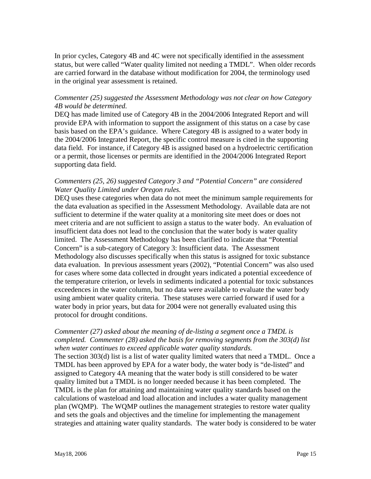In prior cycles, Category 4B and 4C were not specifically identified in the assessment status, but were called "Water quality limited not needing a TMDL". When older records are carried forward in the database without modification for 2004, the terminology used in the original year assessment is retained.

#### *Commenter (25) suggested the Assessment Methodology was not clear on how Category 4B would be determined.*

DEQ has made limited use of Category 4B in the 2004/2006 Integrated Report and will provide EPA with information to support the assignment of this status on a case by case basis based on the EPA's guidance. Where Category 4B is assigned to a water body in the 2004/2006 Integrated Report, the specific control measure is cited in the supporting data field. For instance, if Category 4B is assigned based on a hydroelectric certification or a permit, those licenses or permits are identified in the 2004/2006 Integrated Report supporting data field.

#### *Commenters (25, 26) suggested Category 3 and "Potential Concern" are considered Water Quality Limited under Oregon rules.*

DEQ uses these categories when data do not meet the minimum sample requirements for the data evaluation as specified in the Assessment Methodology. Available data are not sufficient to determine if the water quality at a monitoring site meet does or does not meet criteria and are not sufficient to assign a status to the water body. An evaluation of insufficient data does not lead to the conclusion that the water body is water quality limited. The Assessment Methodology has been clarified to indicate that "Potential Concern" is a sub-category of Category 3: Insufficient data. The Assessment Methodology also discusses specifically when this status is assigned for toxic substance data evaluation. In previous assessment years (2002), "Potential Concern" was also used for cases where some data collected in drought years indicated a potential exceedence of the temperature criterion, or levels in sediments indicated a potential for toxic substances exceedences in the water column, but no data were available to evaluate the water body using ambient water quality criteria. These statuses were carried forward if used for a water body in prior years, but data for 2004 were not generally evaluated using this protocol for drought conditions.

#### *Commenter (27) asked about the meaning of de-listing a segment once a TMDL is completed. Commenter (28) asked the basis for removing segments from the 303(d) list when water continues to exceed applicable water quality standards.*

The section 303(d) list is a list of water quality limited waters that need a TMDL. Once a TMDL has been approved by EPA for a water body, the water body is "de-listed" and assigned to Category 4A meaning that the water body is still considered to be water quality limited but a TMDL is no longer needed because it has been completed. The TMDL is the plan for attaining and maintaining water quality standards based on the calculations of wasteload and load allocation and includes a water quality management plan (WQMP). The WQMP outlines the management strategies to restore water quality and sets the goals and objectives and the timeline for implementing the management strategies and attaining water quality standards. The water body is considered to be water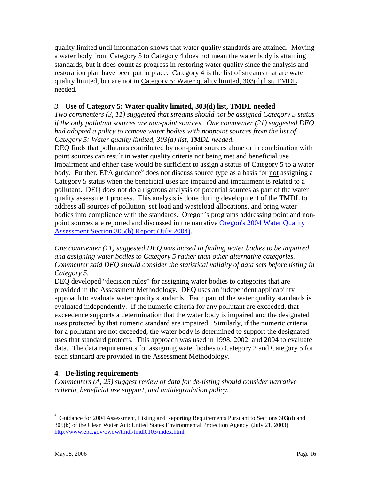quality limited until information shows that water quality standards are attained. Moving a water body from Category 5 to Category 4 does not mean the water body is attaining standards, but it does count as progress in restoring water quality since the analysis and restoration plan have been put in place. Category 4 is the list of streams that are water quality limited, but are not in Category 5: Water quality limited, 303(d) list, TMDL needed.

#### *3.* **Use of Category 5: Water quality limited, 303(d) list, TMDL needed**

*Two commenters (3, 11) suggested that streams should not be assigned Category 5 status if the only pollutant sources are non-point sources. One commenter (21) suggested DEQ*  had adopted a policy to remove water bodies with nonpoint sources from the list of *Category 5: Water quality limited, 303(d) list, TMDL needed.* 

DEQ finds that pollutants contributed by non-point sources alone or in combination with point sources can result in water quality criteria not being met and beneficial use impairment and either case would be sufficient to assign a status of Category 5 to a water body. Further, EPA guidance<sup>[6](#page-17-0)</sup> does not discuss source type as a basis for not assigning a Category 5 status when the beneficial uses are impaired and impairment is related to a pollutant. DEQ does not do a rigorous analysis of potential sources as part of the water quality assessment process. This analysis is done during development of the TMDL to address all sources of pollution, set load and wasteload allocations, and bring water bodies into compliance with the standards. Oregon's programs addressing point and nonpoint sources are reported and discussed in the narrative [Oregon's 2004 Water Quality](http://www.deq.state.or.us/wq/305bRpt/ORWQ305bRpt2004.pdf)  [Assessment Section 305\(b\) Report \(July 2004\).](http://www.deq.state.or.us/wq/305bRpt/ORWQ305bRpt2004.pdf)

*One commenter (11) suggested DEQ was biased in finding water bodies to be impaired and assigning water bodies to Category 5 rather than other alternative categories. Commenter said DEQ should consider the statistical validity of data sets before listing in Category 5.* 

DEQ developed "decision rules" for assigning water bodies to categories that are provided in the Assessment Methodology. DEQ uses an independent applicability approach to evaluate water quality standards. Each part of the water quality standards is evaluated independently. If the numeric criteria for any pollutant are exceeded, that exceedence supports a determination that the water body is impaired and the designated uses protected by that numeric standard are impaired. Similarly, if the numeric criteria for a pollutant are not exceeded, the water body is determined to support the designated uses that standard protects. This approach was used in 1998, 2002, and 2004 to evaluate data. The data requirements for assigning water bodies to Category 2 and Category 5 for each standard are provided in the Assessment Methodology.

#### **4. De-listing requirements**

*Commenters (A, 25) suggest review of data for de-listing should consider narrative criteria, beneficial use support, and antidegradation policy.* 

1

<span id="page-17-0"></span><sup>&</sup>lt;sup>6</sup> Guidance for 2004 Assessment, Listing and Reporting Requirements Pursuant to Sections 303(d) and 305(b) of the Clean Water Act: United States Environmental Protection Agency, (July 21, 2003) http://www.epa.gov/owow/tmdl/tmdl0103/index.html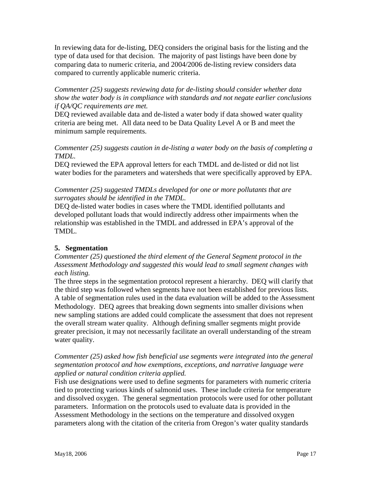In reviewing data for de-listing, DEQ considers the original basis for the listing and the type of data used for that decision. The majority of past listings have been done by comparing data to numeric criteria, and 2004/2006 de-listing review considers data compared to currently applicable numeric criteria.

*Commenter (25) suggests reviewing data for de-listing should consider whether data show the water body is in compliance with standards and not negate earlier conclusions if QA/QC requirements are met.* 

DEQ reviewed available data and de-listed a water body if data showed water quality criteria are being met. All data need to be Data Quality Level A or B and meet the minimum sample requirements.

*Commenter (25) suggests caution in de-listing a water body on the basis of completing a TMDL.* 

DEQ reviewed the EPA approval letters for each TMDL and de-listed or did not list water bodies for the parameters and watersheds that were specifically approved by EPA.

#### *Commenter (25) suggested TMDLs developed for one or more pollutants that are surrogates should be identified in the TMDL.*

DEQ de-listed water bodies in cases where the TMDL identified pollutants and developed pollutant loads that would indirectly address other impairments when the relationship was established in the TMDL and addressed in EPA's approval of the TMDL.

#### **5. Segmentation**

*Commenter (25) questioned the third element of the General Segment protocol in the Assessment Methodology and suggested this would lead to small segment changes with each listing.* 

The three steps in the segmentation protocol represent a hierarchy. DEQ will clarify that the third step was followed when segments have not been established for previous lists. A table of segmentation rules used in the data evaluation will be added to the Assessment Methodology. DEQ agrees that breaking down segments into smaller divisions when new sampling stations are added could complicate the assessment that does not represent the overall stream water quality. Although defining smaller segments might provide greater precision, it may not necessarily facilitate an overall understanding of the stream water quality.

#### *Commenter (25) asked how fish beneficial use segments were integrated into the general segmentation protocol and how exemptions, exceptions, and narrative language were applied or natural condition criteria applied.*

Fish use designations were used to define segments for parameters with numeric criteria tied to protecting various kinds of salmonid uses. These include criteria for temperature and dissolved oxygen. The general segmentation protocols were used for other pollutant parameters. Information on the protocols used to evaluate data is provided in the Assessment Methodology in the sections on the temperature and dissolved oxygen parameters along with the citation of the criteria from Oregon's water quality standards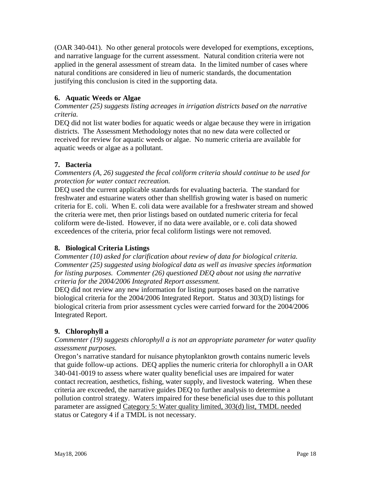(OAR 340-041). No other general protocols were developed for exemptions, exceptions, and narrative language for the current assessment. Natural condition criteria were not applied in the general assessment of stream data. In the limited number of cases where natural conditions are considered in lieu of numeric standards, the documentation justifying this conclusion is cited in the supporting data.

#### **6. Aquatic Weeds or Algae**

*Commenter (25) suggests listing acreages in irrigation districts based on the narrative criteria.* 

DEQ did not list water bodies for aquatic weeds or algae because they were in irrigation districts. The Assessment Methodology notes that no new data were collected or received for review for aquatic weeds or algae. No numeric criteria are available for aquatic weeds or algae as a pollutant.

#### **7. Bacteria**

*Commenters (A, 26) suggested the fecal coliform criteria should continue to be used for protection for water contact recreation.* 

DEQ used the current applicable standards for evaluating bacteria. The standard for freshwater and estuarine waters other than shellfish growing water is based on numeric criteria for E. coli. When E. coli data were available for a freshwater stream and showed the criteria were met, then prior listings based on outdated numeric criteria for fecal coliform were de-listed. However, if no data were available, or e. coli data showed exceedences of the criteria, prior fecal coliform listings were not removed.

#### **8. Biological Criteria Listings**

*Commenter (10) asked for clarification about review of data for biological criteria. Commenter (25) suggested using biological data as well as invasive species information for listing purposes. Commenter (26) questioned DEQ about not using the narrative criteria for the 2004/2006 Integrated Report assessment.* 

DEQ did not review any new information for listing purposes based on the narrative biological criteria for the 2004/2006 Integrated Report. Status and 303(D) listings for biological criteria from prior assessment cycles were carried forward for the 2004/2006 Integrated Report.

#### **9. Chlorophyll a**

*Commenter (19) suggests chlorophyll a is not an appropriate parameter for water quality assessment purposes.* 

Oregon's narrative standard for nuisance phytoplankton growth contains numeric levels that guide follow-up actions. DEQ applies the numeric criteria for chlorophyll a in OAR 340-041-0019 to assess where water quality beneficial uses are impaired for water contact recreation, aesthetics, fishing, water supply, and livestock watering. When these criteria are exceeded, the narrative guides DEQ to further analysis to determine a pollution control strategy. Waters impaired for these beneficial uses due to this pollutant parameter are assigned Category 5: Water quality limited, 303(d) list, TMDL needed status or Category 4 if a TMDL is not necessary.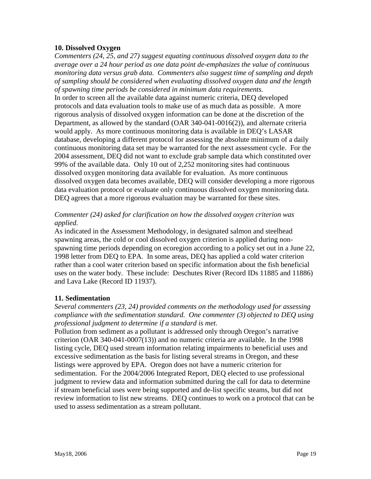#### **10. Dissolved Oxygen**

*Commenters (24, 25, and 27) suggest equating continuous dissolved oxygen data to the average over a 24 hour period as one data point de-emphasizes the value of continuous monitoring data versus grab data. Commenters also suggest time of sampling and depth of sampling should be considered when evaluating dissolved oxygen data and the length of spawning time periods be considered in minimum data requirements.* In order to screen all the available data against numeric criteria, DEQ developed protocols and data evaluation tools to make use of as much data as possible. A more rigorous analysis of dissolved oxygen information can be done at the discretion of the Department, as allowed by the standard (OAR 340-041-0016(2)), and alternate criteria would apply. As more continuous monitoring data is available in DEQ's LASAR database, developing a different protocol for assessing the absolute minimum of a daily continuous monitoring data set may be warranted for the next assessment cycle. For the 2004 assessment, DEQ did not want to exclude grab sample data which constituted over 99% of the available data. Only 10 out of 2,252 monitoring sites had continuous dissolved oxygen monitoring data available for evaluation. As more continuous dissolved oxygen data becomes available, DEQ will consider developing a more rigorous data evaluation protocol or evaluate only continuous dissolved oxygen monitoring data. DEQ agrees that a more rigorous evaluation may be warranted for these sites.

#### *Commenter (24) asked for clarification on how the dissolved oxygen criterion was applied.*

As indicated in the Assessment Methodology, in designated salmon and steelhead spawning areas, the cold or cool dissolved oxygen criterion is applied during nonspawning time periods depending on ecoregion according to a policy set out in a June 22, 1998 letter from DEQ to EPA. In some areas, DEQ has applied a cold water criterion rather than a cool water criterion based on specific information about the fish beneficial uses on the water body. These include: Deschutes River (Record IDs 11885 and 11886) and Lava Lake (Record ID 11937).

#### **11. Sedimentation**

*Several commenters (23, 24) provided comments on the methodology used for assessing compliance with the sedimentation standard. One commenter (3) objected to DEQ using professional judgment to determine if a standard is met.* 

Pollution from sediment as a pollutant is addressed only through Oregon's narrative criterion (OAR 340-041-0007(13)) and no numeric criteria are available. In the 1998 listing cycle, DEQ used stream information relating impairments to beneficial uses and excessive sedimentation as the basis for listing several streams in Oregon, and these listings were approved by EPA. Oregon does not have a numeric criterion for sedimentation. For the 2004/2006 Integrated Report, DEQ elected to use professional judgment to review data and information submitted during the call for data to determine if stream beneficial uses were being supported and de-list specific steams, but did not review information to list new streams. DEQ continues to work on a protocol that can be used to assess sedimentation as a stream pollutant.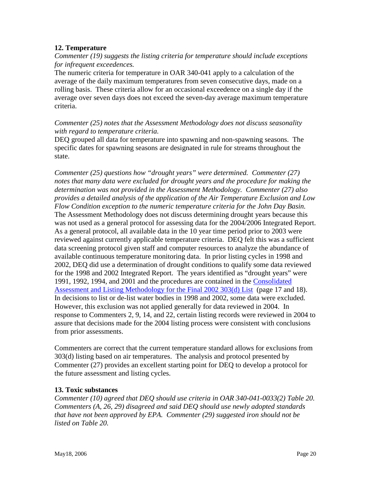#### **12. Temperature**

*Commenter (19) suggests the listing criteria for temperature should include exceptions for infrequent exceedences.* 

The numeric criteria for temperature in OAR 340-041 apply to a calculation of the average of the daily maximum temperatures from seven consecutive days, made on a rolling basis. These criteria allow for an occasional exceedence on a single day if the average over seven days does not exceed the seven-day average maximum temperature criteria.

#### *Commenter (25) notes that the Assessment Methodology does not discuss seasonality with regard to temperature criteria.*

DEQ grouped all data for temperature into spawning and non-spawning seasons. The specific dates for spawning seasons are designated in rule for streams throughout the state.

*Commenter (25) questions how "drought years" were determined. Commenter (27) notes that many data were excluded for drought years and the procedure for making the determination was not provided in the Assessment Methodology. Commenter (27) also provides a detailed analysis of the application of the Air Temperature Exclusion and Low Flow Condition exception to the numeric temperature criteria for the John Day Basin.*  The Assessment Methodology does not discuss determining drought years because this was not used as a general protocol for assessing data for the 2004/2006 Integrated Report. As a general protocol, all available data in the 10 year time period prior to 2003 were reviewed against currently applicable temperature criteria. DEQ felt this was a sufficient data screening protocol given staff and computer resources to analyze the abundance of available continuous temperature monitoring data. In prior listing cycles in 1998 and 2002, DEQ did use a determination of drought conditions to qualify some data reviewed for the 1998 and 2002 Integrated Report. The years identified as "drought years" were 1991, 1992, 1994, and 2001 and the procedures are contained in the [Consolidated](http://www.deq.state.or.us/wq/303dlist/Final2002AssessmentAndListingMethodolgy.pdf)  [Assessment and Listing Methodology for the Final 2002 303\(d\) List](http://www.deq.state.or.us/wq/303dlist/Final2002AssessmentAndListingMethodolgy.pdf) (page 17 and 18). In decisions to list or de-list water bodies in 1998 and 2002, some data were excluded. However, this exclusion was not applied generally for data reviewed in 2004. In response to Commenters 2, 9, 14, and 22, certain listing records were reviewed in 2004 to assure that decisions made for the 2004 listing process were consistent with conclusions from prior assessments.

Commenters are correct that the current temperature standard allows for exclusions from 303(d) listing based on air temperatures. The analysis and protocol presented by Commenter (27) provides an excellent starting point for DEQ to develop a protocol for the future assessment and listing cycles.

#### **13. Toxic substances**

*Commenter (10) agreed that DEQ should use criteria in OAR 340-041-0033(2) Table 20. Commenters (A, 26, 29) disagreed and said DEQ should use newly adopted standards that have not been approved by EPA. Commenter (29) suggested iron should not be listed on Table 20.*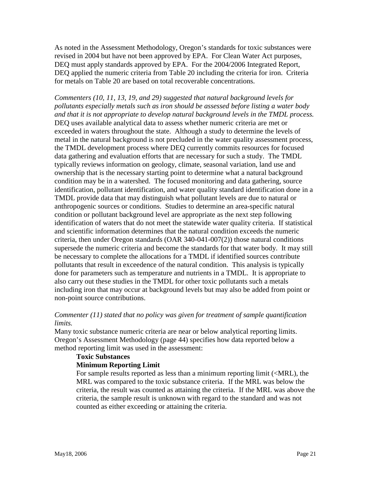As noted in the Assessment Methodology, Oregon's standards for toxic substances were revised in 2004 but have not been approved by EPA. For Clean Water Act purposes, DEQ must apply standards approved by EPA. For the 2004/2006 Integrated Report, DEQ applied the numeric criteria from Table 20 including the criteria for iron. Criteria for metals on Table 20 are based on total recoverable concentrations.

*Commenters (10, 11, 13, 19, and 29) suggested that natural background levels for pollutants especially metals such as iron should be assessed before listing a water body and that it is not appropriate to develop natural background levels in the TMDL process.*  DEQ uses available analytical data to assess whether numeric criteria are met or exceeded in waters throughout the state. Although a study to determine the levels of metal in the natural background is not precluded in the water quality assessment process, the TMDL development process where DEQ currently commits resources for focused data gathering and evaluation efforts that are necessary for such a study. The TMDL typically reviews information on geology, climate, seasonal variation, land use and ownership that is the necessary starting point to determine what a natural background condition may be in a watershed. The focused monitoring and data gathering, source identification, pollutant identification, and water quality standard identification done in a TMDL provide data that may distinguish what pollutant levels are due to natural or anthropogenic sources or conditions. Studies to determine an area-specific natural condition or pollutant background level are appropriate as the next step following identification of waters that do not meet the statewide water quality criteria. If statistical and scientific information determines that the natural condition exceeds the numeric criteria, then under Oregon standards (OAR 340-041-007(2)) those natural conditions supersede the numeric criteria and become the standards for that water body. It may still be necessary to complete the allocations for a TMDL if identified sources contribute pollutants that result in exceedence of the natural condition. This analysis is typically done for parameters such as temperature and nutrients in a TMDL. It is appropriate to also carry out these studies in the TMDL for other toxic pollutants such a metals including iron that may occur at background levels but may also be added from point or non-point source contributions.

#### *Commenter (11) stated that no policy was given for treatment of sample quantification limits.*

Many toxic substance numeric criteria are near or below analytical reporting limits. Oregon's Assessment Methodology (page 44) specifies how data reported below a method reporting limit was used in the assessment:

#### **Toxic Substances**

#### **Minimum Reporting Limit**

For sample results reported as less than a minimum reporting limit (<MRL), the MRL was compared to the toxic substance criteria. If the MRL was below the criteria, the result was counted as attaining the criteria. If the MRL was above the criteria, the sample result is unknown with regard to the standard and was not counted as either exceeding or attaining the criteria.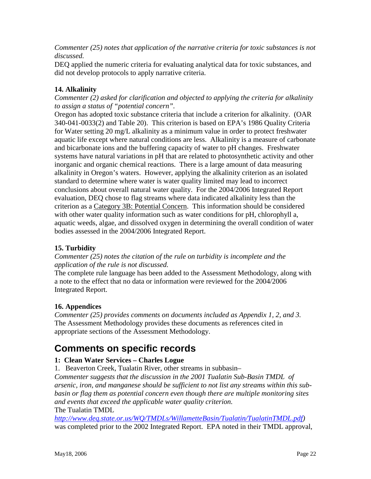*Commenter (25) notes that application of the narrative criteria for toxic substances is not discussed.* 

DEQ applied the numeric criteria for evaluating analytical data for toxic substances, and did not develop protocols to apply narrative criteria.

#### **14. Alkalinity**

*Commenter (2) asked for clarification and objected to applying the criteria for alkalinity to assign a status of "potential concern".* 

Oregon has adopted toxic substance criteria that include a criterion for alkalinity. (OAR 340-041-0033(2) and Table 20). This criterion is based on EPA's 1986 Quality Criteria for Water setting 20 mg/L alkalinity as a minimum value in order to protect freshwater aquatic life except where natural conditions are less. Alkalinity is a measure of carbonate and bicarbonate ions and the buffering capacity of water to pH changes. Freshwater systems have natural variations in pH that are related to photosynthetic activity and other inorganic and organic chemical reactions. There is a large amount of data measuring alkalinity in Oregon's waters. However, applying the alkalinity criterion as an isolated standard to determine where water is water quality limited may lead to incorrect conclusions about overall natural water quality. For the 2004/2006 Integrated Report evaluation, DEQ chose to flag streams where data indicated alkalinity less than the criterion as a Category 3B: Potential Concern. This information should be considered with other water quality information such as water conditions for pH, chlorophyll a, aquatic weeds, algae, and dissolved oxygen in determining the overall condition of water bodies assessed in the 2004/2006 Integrated Report.

#### **15. Turbidity**

*Commenter (25) notes the citation of the rule on turbidity is incomplete and the application of the rule is not discussed.*

The complete rule language has been added to the Assessment Methodology, along with a note to the effect that no data or information were reviewed for the 2004/2006 Integrated Report.

#### **16. Appendices**

*Commenter (25) provides comments on documents included as Appendix 1, 2, and 3.*  The Assessment Methodology provides these documents as references cited in appropriate sections of the Assessment Methodology.

### <span id="page-23-0"></span>**Comments on specific records**

#### **1: Clean Water Services – Charles Logue**

1. Beaverton Creek, Tualatin River, other streams in subbasin–

*Commenter suggests that the discussion in the 2001 Tualatin Sub-Basin TMDL of arsenic, iron, and manganese should be sufficient to not list any streams within this subbasin or flag them as potential concern even though there are multiple monitoring sites and events that exceed the applicable water quality criterion.* The Tualatin TMDL

*[http://www.deq.state.or.us/WQ/TMDLs/WillametteBasin/Tualatin/TualatinTMDL.pdf\)](http://www.deq.state.or.us/WQ/TMDLs/WillametteBasin/Tualatin/TualatinTMDL.pdf)*  was completed prior to the 2002 Integrated Report. EPA noted in their TMDL approval,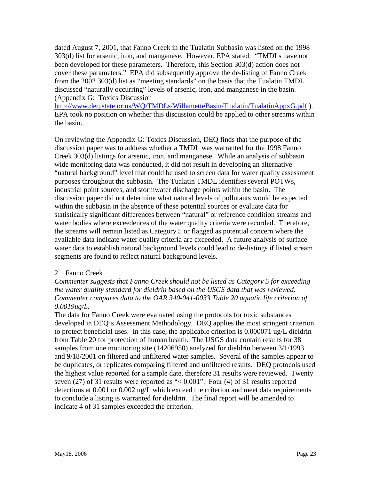dated August 7, 2001, that Fanno Creek in the Tualatin Subbasin was listed on the 1998 303(d) list for arsenic, iron, and manganese. However, EPA stated: "TMDLs have not been developed for these parameters. Therefore, this Section 303(d) action does not cover these parameters." EPA did subsequently approve the de-listing of Fanno Creek from the 2002 303(d) list as "meeting standards" on the basis that the Tualatin TMDL discussed "naturally occurring" levels of arsenic, iron, and manganese in the basin. (Appendix G: Toxics Discussion

http://www.deq.state.or.us/WQ/TMDLs/WillametteBasin/Tualatin/TualatinAppxG.pdf). EPA took no position on whether this discussion could be applied to other streams within the basin.

On reviewing the Appendix G: Toxics Discussion, DEQ finds that the purpose of the discussion paper was to address whether a TMDL was warranted for the 1998 Fanno Creek 303(d) listings for arsenic, iron, and manganese. While an analysis of subbasin wide monitoring data was conducted, it did not result in developing an alternative "natural background" level that could be used to screen data for water quality assessment purposes throughout the subbasin. The Tualatin TMDL identifies several POTWs, industrial point sources, and stormwater discharge points within the basin. The discussion paper did not determine what natural levels of pollutants would be expected within the subbasin in the absence of these potential sources or evaluate data for statistically significant differences between "natural" or reference condition streams and water bodies where exceedences of the water quality criteria were recorded. Therefore, the streams will remain listed as Category 5 or flagged as potential concern where the available data indicate water quality criteria are exceeded. A future analysis of surface water data to establish natural background levels could lead to de-listings if listed stream segments are found to reflect natural background levels.

#### 2. Fanno Creek

*Commenter suggests that Fanno Creek should not be listed as Category 5 for exceeding the water quality standard for dieldrin based on the USGS data that was reviewed. Commenter compares data to the OAR 340-041-0033 Table 20 aquatic life criterion of 0.0019ug/L.* 

The data for Fanno Creek were evaluated using the protocols for toxic substances developed in DEQ's Assessment Methodology. DEQ applies the most stringent criterion to protect beneficial uses. In this case, the applicable criterion is 0.000071 ug/L dieldrin from Table 20 for protection of human health. The USGS data contain results for 38 samples from one monitoring site (14206950) analyzed for dieldrin between 3/1/1993 and 9/18/2001 on filtered and unfiltered water samples. Several of the samples appear to be duplicates, or replicates comparing filtered and unfiltered results. DEQ protocols used the highest value reported for a sample date, therefore 31 results were reviewed. Twenty seven (27) of 31 results were reported as "< 0.001". Four (4) of 31 results reported detections at 0.001 or 0.002 ug/L which exceed the criterion and meet data requirements to conclude a listing is warranted for dieldrin. The final report will be amended to indicate 4 of 31 samples exceeded the criterion.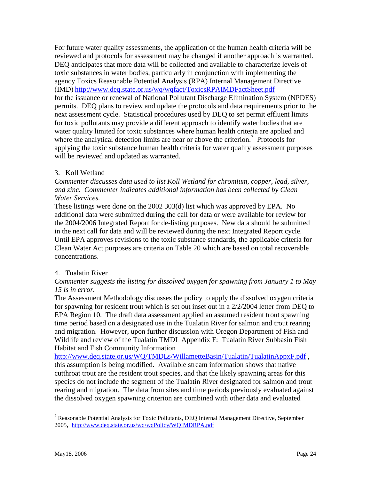For future water quality assessments, the application of the human health criteria will be reviewed and protocols for assessment may be changed if another approach is warranted. DEQ anticipates that more data will be collected and available to characterize levels of toxic substances in water bodies, particularly in conjunction with implementing the agency Toxics Reasonable Potential Analysis (RPA) Internal Management Directive (IMD) <http://www.deq.state.or.us/wq/wqfact/ToxicsRPAIMDFactSheet.pdf> for the issuance or renewal of National Pollutant Discharge Elimination System (NPDES) permits. DEQ plans to review and update the protocols and data requirements prior to the next assessment cycle. Statistical procedures used by DEQ to set permit effluent limits for toxic pollutants may provide a different approach to identify water bodies that are water quality limited for toxic substances where human health criteria are applied and where the analytical detection limits are near or above the criterion.<sup>7</sup> Protocols for applying the toxic substance human health criteria for water quality assessment purposes will be reviewed and updated as warranted.

#### 3. Koll Wetland

*Commenter discusses data used to list Koll Wetland for chromium, copper, lead, silver, and zinc. Commenter indicates additional information has been collected by Clean Water Services.* 

These listings were done on the 2002 303(d) list which was approved by EPA. No additional data were submitted during the call for data or were available for review for the 2004/2006 Integrated Report for de-listing purposes. New data should be submitted in the next call for data and will be reviewed during the next Integrated Report cycle. Until EPA approves revisions to the toxic substance standards, the applicable criteria for Clean Water Act purposes are criteria on Table 20 which are based on total recoverable concentrations.

#### 4. Tualatin River

#### *Commenter suggests the listing for dissolved oxygen for spawning from January 1 to May 15 is in error.*

The Assessment Methodology discusses the policy to apply the dissolved oxygen criteria for spawning for resident trout which is set out inset out in a 2/2/2004 letter from DEQ to EPA Region 10. The draft data assessment applied an assumed resident trout spawning time period based on a designated use in the Tualatin River for salmon and trout rearing and migration. However, upon further discussion with Oregon Department of Fish and Wildlife and review of the Tualatin TMDL Appendix F: Tualatin River Subbasin Fish Habitat and Fish Community Information

http://www.deq.state.or.us/WQ/TMDLs/WillametteBasin/Tualatin/TualatinAppxF.pdf, this assumption is being modified. Available stream information shows that native cutthroat trout are the resident trout species, and that the likely spawning areas for this species do not include the segment of the Tualatin River designated for salmon and trout rearing and migration. The data from sites and time periods previously evaluated against the dissolved oxygen spawning criterion are combined with other data and evaluated

<span id="page-25-0"></span><sup>&</sup>lt;u>.</u> <sup>7</sup> Reasonable Potential Analysis for Toxic Pollutants, DEQ Internal Management Directive, September 2005, http://www.deq.state.or.us/wq/wqPolicy/WQIMDRPA.pdf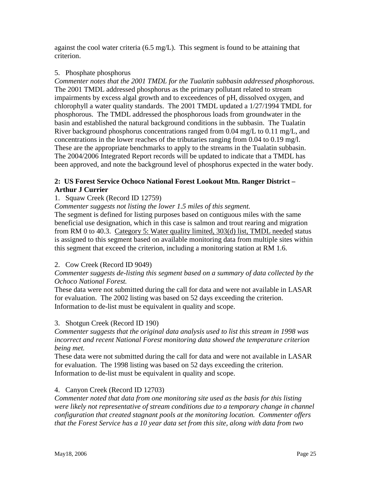against the cool water criteria (6.5 mg/L). This segment is found to be attaining that criterion.

#### 5. Phosphate phosphorus

*Commenter notes that the 2001 TMDL for the Tualatin subbasin addressed phosphorous.* The 2001 TMDL addressed phosphorus as the primary pollutant related to stream impairments by excess algal growth and to exceedences of pH, dissolved oxygen, and chlorophyll a water quality standards. The 2001 TMDL updated a 1/27/1994 TMDL for phosphorous. The TMDL addressed the phosphorous loads from groundwater in the basin and established the natural background conditions in the subbasin. The Tualatin River background phosphorus concentrations ranged from 0.04 mg/L to 0.11 mg/L, and concentrations in the lower reaches of the tributaries ranging from 0.04 to 0.19 mg/l. These are the appropriate benchmarks to apply to the streams in the Tualatin subbasin. The 2004/2006 Integrated Report records will be updated to indicate that a TMDL has been approved, and note the background level of phosphorus expected in the water body.

#### **2: US Forest Service Ochoco National Forest Lookout Mtn. Ranger District – Arthur J Currier**

#### 1. Squaw Creek (Record ID 12759)

*Commenter suggests not listing the lower 1.5 miles of this segment.* 

The segment is defined for listing purposes based on contiguous miles with the same beneficial use designation, which in this case is salmon and trout rearing and migration from RM 0 to 40.3. Category 5: Water quality limited, 303(d) list, TMDL needed status is assigned to this segment based on available monitoring data from multiple sites within this segment that exceed the criterion, including a monitoring station at RM 1.6.

#### 2. Cow Creek (Record ID 9049)

#### *Commenter suggests de-listing this segment based on a summary of data collected by the Ochoco National Forest.*

These data were not submitted during the call for data and were not available in LASAR for evaluation. The 2002 listing was based on 52 days exceeding the criterion. Information to de-list must be equivalent in quality and scope.

#### 3. Shotgun Creek (Record ID 190)

*Commenter suggests that the original data analysis used to list this stream in 1998 was incorrect and recent National Forest monitoring data showed the temperature criterion being met.* 

These data were not submitted during the call for data and were not available in LASAR for evaluation. The 1998 listing was based on 52 days exceeding the criterion. Information to de-list must be equivalent in quality and scope.

#### 4. Canyon Creek (Record ID 12703)

*Commenter noted that data from one monitoring site used as the basis for this listing were likely not representative of stream conditions due to a temporary change in channel configuration that created stagnant pools at the monitoring location. Commenter offers that the Forest Service has a 10 year data set from this site, along with data from two*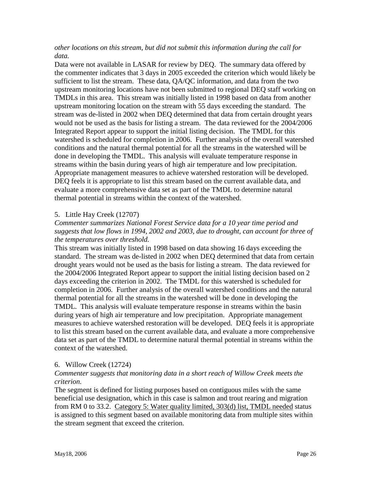*other locations on this stream, but did not submit this information during the call for data.*

Data were not available in LASAR for review by DEQ. The summary data offered by the commenter indicates that 3 days in 2005 exceeded the criterion which would likely be sufficient to list the stream. These data, QA/QC information, and data from the two upstream monitoring locations have not been submitted to regional DEQ staff working on TMDLs in this area. This stream was initially listed in 1998 based on data from another upstream monitoring location on the stream with 55 days exceeding the standard. The stream was de-listed in 2002 when DEQ determined that data from certain drought years would not be used as the basis for listing a stream. The data reviewed for the 2004/2006 Integrated Report appear to support the initial listing decision. The TMDL for this watershed is scheduled for completion in 2006. Further analysis of the overall watershed conditions and the natural thermal potential for all the streams in the watershed will be done in developing the TMDL. This analysis will evaluate temperature response in streams within the basin during years of high air temperature and low precipitation. Appropriate management measures to achieve watershed restoration will be developed. DEQ feels it is appropriate to list this stream based on the current available data, and evaluate a more comprehensive data set as part of the TMDL to determine natural thermal potential in streams within the context of the watershed.

#### 5. Little Hay Creek (12707)

#### *Commenter summarizes National Forest Service data for a 10 year time period and suggests that low flows in 1994, 2002 and 2003, due to drought, can account for three of the temperatures over threshold.*

This stream was initially listed in 1998 based on data showing 16 days exceeding the standard. The stream was de-listed in 2002 when DEQ determined that data from certain drought years would not be used as the basis for listing a stream. The data reviewed for the 2004/2006 Integrated Report appear to support the initial listing decision based on 2 days exceeding the criterion in 2002. The TMDL for this watershed is scheduled for completion in 2006. Further analysis of the overall watershed conditions and the natural thermal potential for all the streams in the watershed will be done in developing the TMDL. This analysis will evaluate temperature response in streams within the basin during years of high air temperature and low precipitation. Appropriate management measures to achieve watershed restoration will be developed. DEQ feels it is appropriate to list this stream based on the current available data, and evaluate a more comprehensive data set as part of the TMDL to determine natural thermal potential in streams within the context of the watershed.

#### 6. Willow Creek (12724)

#### *Commenter suggests that monitoring data in a short reach of Willow Creek meets the criterion.*

The segment is defined for listing purposes based on contiguous miles with the same beneficial use designation, which in this case is salmon and trout rearing and migration from RM 0 to 33.2. Category 5: Water quality limited, 303(d) list, TMDL needed status is assigned to this segment based on available monitoring data from multiple sites within the stream segment that exceed the criterion.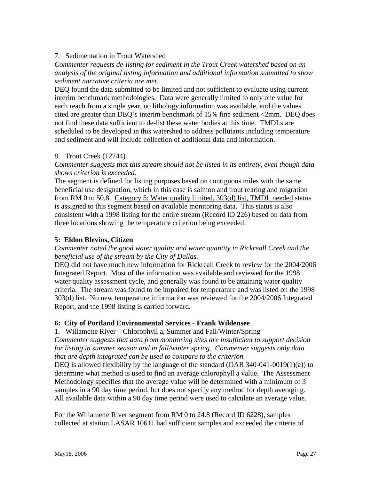#### 7. Sedimentation in Trout Watershed

*Commenter requests de-listing for sediment in the Trout Creek watershed based on an analysis of the original listing information and additional information submitted to show sediment narrative criteria are met.* 

DEQ found the data submitted to be limited and not sufficient to evaluate using current interim benchmark methodologies. Data were generally limited to only one value for each reach from a single year, no lithology information was available, and the values cited are greater than DEQ's interim benchmark of 15% fine sediment <2mm. DEQ does not find these data sufficient to de-list these water bodies at this time. TMDLs are scheduled to be developed in this watershed to address pollutants including temperature and sediment and will include collection of additional data and information.

#### 8. Trout Creek (12744)

*Commenter suggests that this stream should not be listed in its entirety, even though data shows criterion is exceeded.* 

The segment is defined for listing purposes based on contiguous miles with the same beneficial use designation, which in this case is salmon and trout rearing and migration from RM 0 to 50.8. Category 5: Water quality limited, 303(d) list, TMDL needed status is assigned to this segment based on available monitoring data. This status is also consistent with a 1998 listing for the entire stream (Record ID 226) based on data from three locations showing the temperature criterion being exceeded.

#### **5: Eldon Blevins, Citizen**

#### *Commenter noted the good water quality and water quantity in Rickreall Creek and the beneficial use of the stream by the City of Dallas.*

DEQ did not have much new information for Rickreall Creek to review for the 2004/2006 Integrated Report. Most of the information was available and reviewed for the 1998 water quality assessment cycle, and generally was found to be attaining water quality criteria. The stream was found to be impaired for temperature and was listed on the 1998 303(d) list. No new temperature information was reviewed for the 2004/2006 Integrated Report, and the 1998 listing is carried forward.

#### **6: City of Portland Environmental Services - Frank Wildensee**

1. Willamette River – Chlorophyll a, Summer and Fall/Winter/Spring *Commenter suggests that data from monitoring sites are insufficient to support decision for listing in summer season and in fall/winter spring. Commenter suggests only data that are depth integrated can be used to compare to the criterion.* 

DEQ is allowed flexibility by the language of the standard  $(OAR 340-041-0019(1)(a))$  to determine what method is used to find an average chlorophyll a value. The Assessment Methodology specifies that the average value will be determined with a minimum of 3 samples in a 90 day time period, but does not specify any method for depth averaging. All available data within a 90 day time period were used to calculate an average value.

For the Willamette River segment from RM 0 to 24.8 (Record ID 6228), samples collected at station LASAR 10611 had sufficient samples and exceeded the criteria of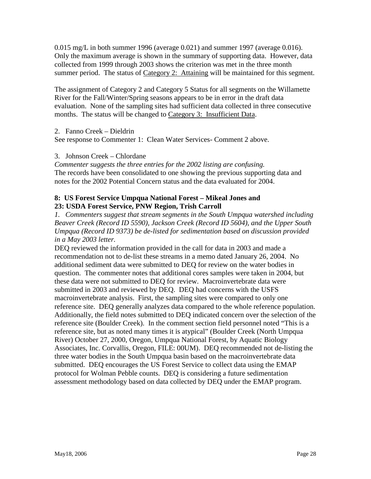$0.015$  mg/L in both summer 1996 (average  $0.021$ ) and summer 1997 (average  $0.016$ ). Only the maximum average is shown in the summary of supporting data. However, data collected from 1999 through 2003 shows the criterion was met in the three month summer period. The status of Category 2: Attaining will be maintained for this segment.

The assignment of Category 2 and Category 5 Status for all segments on the Willamette River for the Fall/Winter/Spring seasons appears to be in error in the draft data evaluation. None of the sampling sites had sufficient data collected in three consecutive months. The status will be changed to Category 3: Insufficient Data.

#### 2. Fanno Creek – Dieldrin

See response to Commenter 1: Clean Water Services- Comment 2 above.

#### 3. Johnson Creek – Chlordane

*Commenter suggests the three entries for the 2002 listing are confusing.*  The records have been consolidated to one showing the previous supporting data and notes for the 2002 Potential Concern status and the data evaluated for 2004.

#### **8: US Forest Service Umpqua National Forest – Mikeal Jones and 23: USDA Forest Service, PNW Region, Trish Carroll**

*1. Commenters suggest that stream segments in the South Umpqua watershed including Beaver Creek (Record ID 5590), Jackson Creek (Record ID 5604), and the Upper South Umpqua (Record ID 9373) be de-listed for sedimentation based on discussion provided in a May 2003 letter.* 

DEQ reviewed the information provided in the call for data in 2003 and made a recommendation not to de-list these streams in a memo dated January 26, 2004. No additional sediment data were submitted to DEQ for review on the water bodies in question. The commenter notes that additional cores samples were taken in 2004, but these data were not submitted to DEQ for review. Macroinvertebrate data were submitted in 2003 and reviewed by DEQ. DEQ had concerns with the USFS macroinvertebrate analysis. First, the sampling sites were compared to only one reference site. DEQ generally analyzes data compared to the whole reference population. Additionally, the field notes submitted to DEQ indicated concern over the selection of the reference site (Boulder Creek). In the comment section field personnel noted "This is a reference site, but as noted many times it is atypical" (Boulder Creek (North Umpqua River) October 27, 2000, Oregon, Umpqua National Forest, by Aquatic Biology Associates, Inc. Corvallis, Oregon, FILE: 00UM). DEQ recommended not de-listing the three water bodies in the South Umpqua basin based on the macroinvertebrate data submitted. DEQ encourages the US Forest Service to collect data using the EMAP protocol for Wolman Pebble counts. DEQ is considering a future sedimentation assessment methodology based on data collected by DEQ under the EMAP program.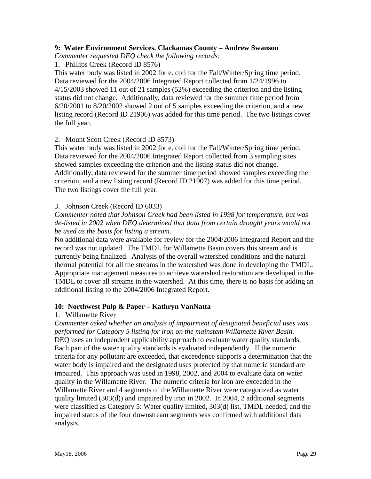#### **9: Water Environment Services. Clackamas County – Andrew Swanson**

*Commenter requested DEQ check the following records:* 

1. Phillips Creek (Record ID 8576)

This water body was listed in 2002 for e. coli for the Fall/Winter/Spring time period. Data reviewed for the 2004/2006 Integrated Report collected from 1/24/1996 to 4/15/2003 showed 11 out of 21 samples (52%) exceeding the criterion and the listing status did not change. Additionally, data reviewed for the summer time period from 6/20/2001 to 8/20/2002 showed 2 out of 5 samples exceeding the criterion, and a new listing record (Record ID 21906) was added for this time period. The two listings cover the full year.

#### 2. Mount Scott Creek (Record ID 8573)

This water body was listed in 2002 for e. coli for the Fall/Winter/Spring time period. Data reviewed for the 2004/2006 Integrated Report collected from 3 sampling sites showed samples exceeding the criterion and the listing status did not change. Additionally, data reviewed for the summer time period showed samples exceeding the criterion, and a new listing record (Record ID 21907) was added for this time period. The two listings cover the full year.

#### 3. Johnson Creek (Record ID 6033)

*Commenter noted that Johnson Creek had been listed in 1998 for temperature, but was de-listed in 2002 when DEQ determined that data from certain drought years would not be used as the basis for listing a stream.* 

No additional data were available for review for the 2004/2006 Integrated Report and the record was not updated. The TMDL for Willamette Basin covers this stream and is currently being finalized. Analysis of the overall watershed conditions and the natural thermal potential for all the streams in the watershed was done in developing the TMDL. Appropriate management measures to achieve watershed restoration are developed in the TMDL to cover all streams in the watershed. At this time, there is no basis for adding an additional listing to the 2004/2006 Integrated Report.

#### **10: Northwest Pulp & Paper – Kathryn VanNatta**

#### 1. Willamette River

*Commenter asked whether an analysis of impairment of designated beneficial uses was performed for Category 5 listing for iron on the mainstem Willamette River Basin.*  DEO uses an independent applicability approach to evaluate water quality standards. Each part of the water quality standards is evaluated independently. If the numeric criteria for any pollutant are exceeded, that exceedence supports a determination that the water body is impaired and the designated uses protected by that numeric standard are impaired. This approach was used in 1998, 2002, and 2004 to evaluate data on water quality in the Willamette River. The numeric criteria for iron are exceeded in the Willamette River and 4 segments of the Willamette River were categorized as water quality limited (303(d)) and impaired by iron in 2002. In 2004, 2 additional segments were classified as Category 5: Water quality limited, 303(d) list, TMDL needed, and the impaired status of the four downstream segments was confirmed with additional data analysis.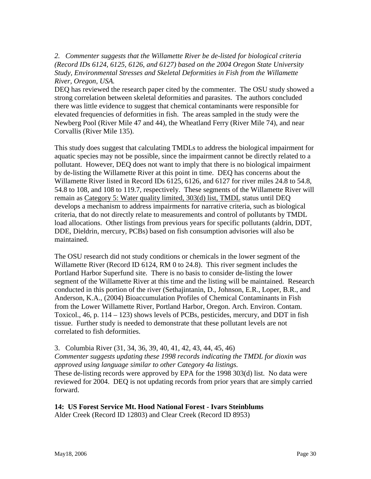*2. Commenter suggests that the Willamette River be de-listed for biological criteria (Record IDs 6124, 6125, 6126, and 6127) based on the 2004 Oregon State University Study, Environmental Stresses and Skeletal Deformities in Fish from the Willamette River, Oregon, USA.* 

DEQ has reviewed the research paper cited by the commenter. The OSU study showed a strong correlation between skeletal deformities and parasites. The authors concluded there was little evidence to suggest that chemical contaminants were responsible for elevated frequencies of deformities in fish. The areas sampled in the study were the Newberg Pool (River Mile 47 and 44), the Wheatland Ferry (River Mile 74), and near Corvallis (River Mile 135).

This study does suggest that calculating TMDLs to address the biological impairment for aquatic species may not be possible, since the impairment cannot be directly related to a pollutant. However, DEQ does not want to imply that there is no biological impairment by de-listing the Willamette River at this point in time. DEQ has concerns about the Willamette River listed in Record IDs 6125, 6126, and 6127 for river miles 24.8 to 54.8, 54.8 to 108, and 108 to 119.7, respectively. These segments of the Willamette River will remain as Category 5: Water quality limited, 303(d) list, TMDL status until DEQ develops a mechanism to address impairments for narrative criteria, such as biological criteria, that do not directly relate to measurements and control of pollutants by TMDL load allocations. Other listings from previous years for specific pollutants (aldrin, DDT, DDE, Dieldrin, mercury, PCBs) based on fish consumption advisories will also be maintained.

The OSU research did not study conditions or chemicals in the lower segment of the Willamette River (Record ID 6124, RM 0 to 24.8). This river segment includes the Portland Harbor Superfund site. There is no basis to consider de-listing the lower segment of the Willamette River at this time and the listing will be maintained. Research conducted in this portion of the river (Sethajintanin, D., Johnson, E.R., Loper, B.R., and Anderson, K.A., (2004) Bioaccumulation Profiles of Chemical Contaminants in Fish from the Lower Willamette River, Portland Harbor, Oregon. Arch. Environ. Contam. Toxicol., 46, p. 114 – 123) shows levels of PCBs, pesticides, mercury, and DDT in fish tissue. Further study is needed to demonstrate that these pollutant levels are not correlated to fish deformities.

#### 3. Columbia River (31, 34, 36, 39, 40, 41, 42, 43, 44, 45, 46)

*Commenter suggests updating these 1998 records indicating the TMDL for dioxin was approved using language similar to other Category 4a listings.* 

These de-listing records were approved by EPA for the 1998 303(d) list. No data were reviewed for 2004. DEQ is not updating records from prior years that are simply carried forward.

#### **14: US Forest Service Mt. Hood National Forest - Ivars Steinblums**

Alder Creek (Record ID 12803) and Clear Creek (Record ID 8953)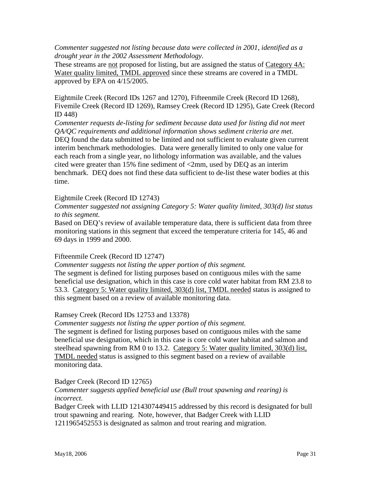*Commenter suggested not listing because data were collected in 2001, identified as a drought year in the 2002 Assessment Methodology.* 

These streams are not proposed for listing, but are assigned the status of Category 4A: Water quality limited, TMDL approved since these streams are covered in a TMDL approved by EPA on 4/15/2005.

Eightmile Creek (Record IDs 1267 and 1270), Fifteenmile Creek (Record ID 1268), Fivemile Creek (Record ID 1269), Ramsey Creek (Record ID 1295), Gate Creek (Record ID 448)

*Commenter requests de-listing for sediment because data used for listing did not meet QA/QC requirements and additional information shows sediment criteria are met.*  DEQ found the data submitted to be limited and not sufficient to evaluate given current interim benchmark methodologies. Data were generally limited to only one value for each reach from a single year, no lithology information was available, and the values cited were greater than 15% fine sediment of <2mm, used by DEQ as an interim benchmark. DEQ does not find these data sufficient to de-list these water bodies at this time.

#### Eightmile Creek (Record ID 12743)

*Commenter suggested not assigning Category 5: Water quality limited, 303(d) list status to this segment.* 

Based on DEQ's review of available temperature data, there is sufficient data from three monitoring stations in this segment that exceed the temperature criteria for 145, 46 and 69 days in 1999 and 2000.

#### Fifteenmile Creek (Record ID 12747)

*Commenter suggests not listing the upper portion of this segment.*

The segment is defined for listing purposes based on contiguous miles with the same beneficial use designation, which in this case is core cold water habitat from RM 23.8 to 53.3. Category 5: Water quality limited, 303(d) list, TMDL needed status is assigned to this segment based on a review of available monitoring data.

#### Ramsey Creek (Record IDs 12753 and 13378)

*Commenter suggests not listing the upper portion of this segment.*

The segment is defined for listing purposes based on contiguous miles with the same beneficial use designation, which in this case is core cold water habitat and salmon and steelhead spawning from RM 0 to 13.2. Category 5: Water quality limited, 303(d) list, TMDL needed status is assigned to this segment based on a review of available monitoring data.

#### Badger Creek (Record ID 12765)

#### *Commenter suggests applied beneficial use (Bull trout spawning and rearing) is incorrect.*

Badger Creek with LLID 1214307449415 addressed by this record is designated for bull trout spawning and rearing. Note, however, that Badger Creek with LLID 1211965452553 is designated as salmon and trout rearing and migration.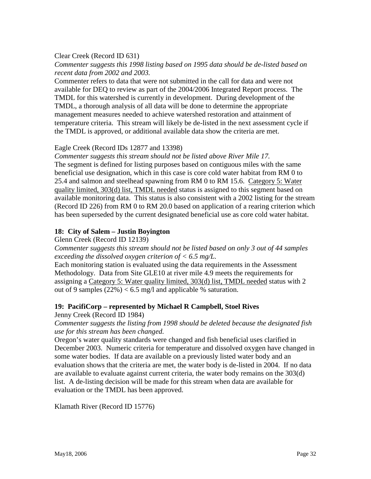#### Clear Creek (Record ID 631)

*Commenter suggests this 1998 listing based on 1995 data should be de-listed based on recent data from 2002 and 2003.*

Commenter refers to data that were not submitted in the call for data and were not available for DEQ to review as part of the 2004/2006 Integrated Report process. The TMDL for this watershed is currently in development. During development of the TMDL, a thorough analysis of all data will be done to determine the appropriate management measures needed to achieve watershed restoration and attainment of temperature criteria. This stream will likely be de-listed in the next assessment cycle if the TMDL is approved, or additional available data show the criteria are met.

#### Eagle Creek (Record IDs 12877 and 13398)

*Commenter suggests this stream should not be listed above River Mile 17.*  The segment is defined for listing purposes based on contiguous miles with the same beneficial use designation, which in this case is core cold water habitat from RM 0 to 25.4 and salmon and steelhead spawning from RM 0 to RM 15.6. Category 5: Water quality limited, 303(d) list, TMDL needed status is assigned to this segment based on available monitoring data. This status is also consistent with a 2002 listing for the stream (Record ID 226) from RM 0 to RM 20.0 based on application of a rearing criterion which has been superseded by the current designated beneficial use as core cold water habitat.

#### **18: City of Salem – Justin Boyington**

Glenn Creek (Record ID 12139)

*Commenter suggests this stream should not be listed based on only 3 out of 44 samples exceeding the dissolved oxygen criterion of < 6.5 mg/L.* 

Each monitoring station is evaluated using the data requirements in the Assessment Methodology. Data from Site GLE10 at river mile 4.9 meets the requirements for assigning a Category 5: Water quality limited, 303(d) list, TMDL needed status with 2 out of 9 samples  $(22\%) < 6.5$  mg/l and applicable % saturation.

#### **19: PacifiCorp – represented by Michael R Campbell, Stoel Rives**

Jenny Creek (Record ID 1984)

*Commenter suggests the listing from 1998 should be deleted because the designated fish use for this stream has been changed.* 

Oregon's water quality standards were changed and fish beneficial uses clarified in December 2003. Numeric criteria for temperature and dissolved oxygen have changed in some water bodies. If data are available on a previously listed water body and an evaluation shows that the criteria are met, the water body is de-listed in 2004. If no data are available to evaluate against current criteria, the water body remains on the 303(d) list. A de-listing decision will be made for this stream when data are available for evaluation or the TMDL has been approved.

Klamath River (Record ID 15776)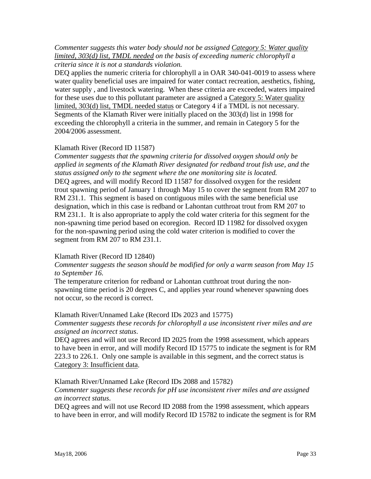#### *Commenter suggests this water body should not be assigned Category 5: Water quality limited, 303(d) list, TMDL needed on the basis of exceeding numeric chlorophyll a criteria since it is not a standards violation.*

DEQ applies the numeric criteria for chlorophyll a in OAR 340-041-0019 to assess where water quality beneficial uses are impaired for water contact recreation, aesthetics, fishing, water supply , and livestock watering. When these criteria are exceeded, waters impaired for these uses due to this pollutant parameter are assigned a Category 5: Water quality limited, 303(d) list, TMDL needed status or Category 4 if a TMDL is not necessary. Segments of the Klamath River were initially placed on the 303(d) list in 1998 for exceeding the chlorophyll a criteria in the summer, and remain in Category 5 for the 2004/2006 assessment.

#### Klamath River (Record ID 11587)

*Commenter suggests that the spawning criteria for dissolved oxygen should only be applied in segments of the Klamath River designated for redband trout fish use, and the status assigned only to the segment where the one monitoring site is located.*  DEQ agrees, and will modify Record ID 11587 for dissolved oxygen for the resident trout spawning period of January 1 through May 15 to cover the segment from RM 207 to RM 231.1. This segment is based on contiguous miles with the same beneficial use designation, which in this case is redband or Lahontan cutthroat trout from RM 207 to RM 231.1. It is also appropriate to apply the cold water criteria for this segment for the non-spawning time period based on ecoregion. Record ID 11982 for dissolved oxygen for the non-spawning period using the cold water criterion is modified to cover the segment from RM 207 to RM 231.1.

#### Klamath River (Record ID 12840)

#### *Commenter suggests the season should be modified for only a warm season from May 15 to September 16.*

The temperature criterion for redband or Lahontan cutthroat trout during the nonspawning time period is 20 degrees C, and applies year round whenever spawning does not occur, so the record is correct.

#### Klamath River/Unnamed Lake (Record IDs 2023 and 15775)

#### *Commenter suggests these records for chlorophyll a use inconsistent river miles and are assigned an incorrect status*.

DEQ agrees and will not use Record ID 2025 from the 1998 assessment, which appears to have been in error, and will modify Record ID 15775 to indicate the segment is for RM 223.3 to 226.1. Only one sample is available in this segment, and the correct status is Category 3: Insufficient data.

#### Klamath River/Unnamed Lake (Record IDs 2088 and 15782)

#### *Commenter suggests these records for pH use inconsistent river miles and are assigned an incorrect status*.

DEQ agrees and will not use Record ID 2088 from the 1998 assessment, which appears to have been in error, and will modify Record ID 15782 to indicate the segment is for RM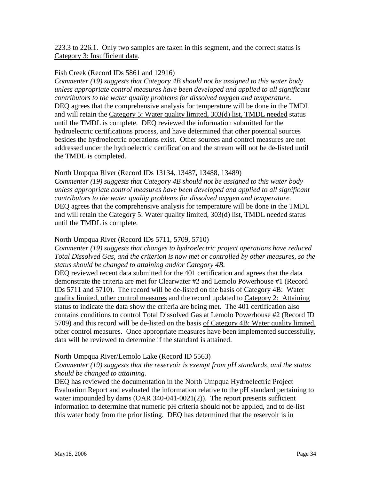223.3 to 226.1. Only two samples are taken in this segment, and the correct status is Category 3: Insufficient data.

#### Fish Creek (Record IDs 5861 and 12916)

*Commenter (19) suggests that Category 4B should not be assigned to this water body unless appropriate control measures have been developed and applied to all significant contributors to the water quality problems for dissolved oxygen and temperature.*  DEQ agrees that the comprehensive analysis for temperature will be done in the TMDL and will retain the Category 5: Water quality limited, 303(d) list, TMDL needed status until the TMDL is complete. DEQ reviewed the information submitted for the hydroelectric certifications process, and have determined that other potential sources besides the hydroelectric operations exist. Other sources and control measures are not addressed under the hydroelectric certification and the stream will not be de-listed until the TMDL is completed.

#### North Umpqua River (Record IDs 13134, 13487, 13488, 13489)

*Commenter (19) suggests that Category 4B should not be assigned to this water body unless appropriate control measures have been developed and applied to all significant contributors to the water quality problems for dissolved oxygen and temperature.*  DEQ agrees that the comprehensive analysis for temperature will be done in the TMDL and will retain the Category 5: Water quality limited, 303(d) list, TMDL needed status until the TMDL is complete.

#### North Umpqua River (Record IDs 5711, 5709, 5710)

*Commenter (19) suggests that changes to hydroelectric project operations have reduced Total Dissolved Gas, and the criterion is now met or controlled by other measures, so the status should be changed to attaining and/or Category 4B.* 

DEQ reviewed recent data submitted for the 401 certification and agrees that the data demonstrate the criteria are met for Clearwater #2 and Lemolo Powerhouse #1 (Record IDs 5711 and 5710). The record will be de-listed on the basis of Category 4B: Water quality limited, other control measures and the record updated to Category 2: Attaining status to indicate the data show the criteria are being met. The 401 certification also contains conditions to control Total Dissolved Gas at Lemolo Powerhouse #2 (Record ID 5709) and this record will be de-listed on the basis of Category 4B: Water quality limited, other control measures. Once appropriate measures have been implemented successfully, data will be reviewed to determine if the standard is attained.

#### North Umpqua River/Lemolo Lake (Record ID 5563)

#### *Commenter (19) suggests that the reservoir is exempt from pH standards, and the status should be changed to attaining.*

DEQ has reviewed the documentation in the North Umpqua Hydroelectric Project Evaluation Report and evaluated the information relative to the pH standard pertaining to water impounded by dams (OAR 340-041-0021(2)). The report presents sufficient information to determine that numeric pH criteria should not be applied, and to de-list this water body from the prior listing. DEQ has determined that the reservoir is in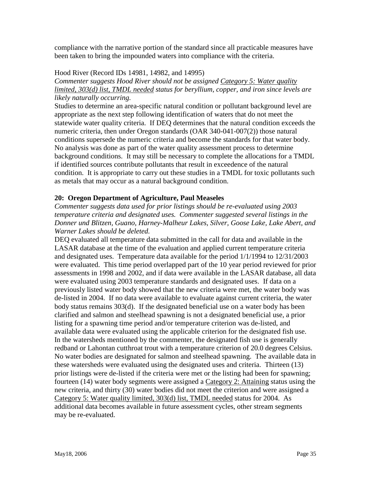compliance with the narrative portion of the standard since all practicable measures have been taken to bring the impounded waters into compliance with the criteria.

#### Hood River (Record IDs 14981, 14982, and 14995)

*Commenter suggests Hood River should not be assigned Category 5: Water quality limited, 303(d) list, TMDL needed status for beryllium, copper, and iron since levels are likely naturally occurring.* 

Studies to determine an area-specific natural condition or pollutant background level are appropriate as the next step following identification of waters that do not meet the statewide water quality criteria. If DEQ determines that the natural condition exceeds the numeric criteria, then under Oregon standards (OAR 340-041-007(2)) those natural conditions supersede the numeric criteria and become the standards for that water body. No analysis was done as part of the water quality assessment process to determine background conditions. It may still be necessary to complete the allocations for a TMDL if identified sources contribute pollutants that result in exceedence of the natural condition. It is appropriate to carry out these studies in a TMDL for toxic pollutants such as metals that may occur as a natural background condition.

#### **20: Oregon Department of Agriculture, Paul Measeles**

*Commenter suggests data used for prior listings should be re-evaluated using 2003 temperature criteria and designated uses. Commenter suggested several listings in the Donner und Blitzen, Guano, Harney-Malheur Lakes, Silver, Goose Lake, Lake Abert, and Warner Lakes should be deleted.* 

DEQ evaluated all temperature data submitted in the call for data and available in the LASAR database at the time of the evaluation and applied current temperature criteria and designated uses. Temperature data available for the period 1/1/1994 to 12/31/2003 were evaluated. This time period overlapped part of the 10 year period reviewed for prior assessments in 1998 and 2002, and if data were available in the LASAR database, all data were evaluated using 2003 temperature standards and designated uses. If data on a previously listed water body showed that the new criteria were met, the water body was de-listed in 2004. If no data were available to evaluate against current criteria, the water body status remains 303(d). If the designated beneficial use on a water body has been clarified and salmon and steelhead spawning is not a designated beneficial use, a prior listing for a spawning time period and/or temperature criterion was de-listed, and available data were evaluated using the applicable criterion for the designated fish use. In the watersheds mentioned by the commenter, the designated fish use is generally redband or Lahontan cutthroat trout with a temperature criterion of 20.0 degrees Celsius. No water bodies are designated for salmon and steelhead spawning. The available data in these watersheds were evaluated using the designated uses and criteria. Thirteen (13) prior listings were de-listed if the criteria were met or the listing had been for spawning; fourteen (14) water body segments were assigned a Category 2: Attaining status using the new criteria, and thirty (30) water bodies did not meet the criterion and were assigned a Category 5: Water quality limited, 303(d) list, TMDL needed status for 2004. As additional data becomes available in future assessment cycles, other stream segments may be re-evaluated.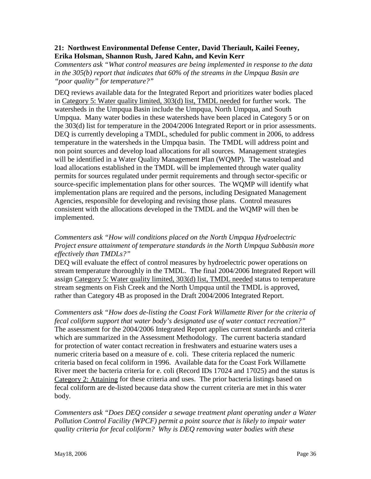#### **21: Northwest Environmental Defense Center, David Theriault, Kailei Feeney, Erika Holsman, Shannon Rush, Jared Kahn, and Kevin Kerr**

*Commenters ask "What control measures are being implemented in response to the data in the 305(b) report that indicates that 60% of the streams in the Umpqua Basin are "poor quality" for temperature?"* 

DEQ reviews available data for the Integrated Report and prioritizes water bodies placed in Category 5: Water quality limited, 303(d) list, TMDL needed for further work. The watersheds in the Umpqua Basin include the Umpqua, North Umpqua, and South Umpqua. Many water bodies in these watersheds have been placed in Category 5 or on the 303(d) list for temperature in the 2004/2006 Integrated Report or in prior assessments. DEQ is currently developing a TMDL, scheduled for public comment in 2006, to address temperature in the watersheds in the Umpqua basin. The TMDL will address point and non point sources and develop load allocations for all sources. Management strategies will be identified in a Water Quality Management Plan (WQMP). The wasteload and load allocations established in the TMDL will be implemented through water quality permits for sources regulated under permit requirements and through sector-specific or source-specific implementation plans for other sources. The WQMP will identify what implementation plans are required and the persons, including Designated Management Agencies, responsible for developing and revising those plans. Control measures consistent with the allocations developed in the TMDL and the WQMP will then be implemented.

#### *Commenters ask "How will conditions placed on the North Umpqua Hydroelectric Project ensure attainment of temperature standards in the North Umpqua Subbasin more effectively than TMDLs?"*

DEQ will evaluate the effect of control measures by hydroelectric power operations on stream temperature thoroughly in the TMDL. The final 2004/2006 Integrated Report will assign Category 5: Water quality limited, 303(d) list, TMDL needed status to temperature stream segments on Fish Creek and the North Umpqua until the TMDL is approved, rather than Category 4B as proposed in the Draft 2004/2006 Integrated Report.

*Commenters ask "How does de-listing the Coast Fork Willamette River for the criteria of fecal coliform support that water body's designated use of water contact recreation?"*  The assessment for the 2004/2006 Integrated Report applies current standards and criteria which are summarized in the Assessment Methodology. The current bacteria standard for protection of water contact recreation in freshwaters and estuarine waters uses a numeric criteria based on a measure of e. coli. These criteria replaced the numeric criteria based on fecal coliform in 1996. Available data for the Coast Fork Willamette River meet the bacteria criteria for e. coli (Record IDs 17024 and 17025) and the status is Category 2: Attaining for these criteria and uses. The prior bacteria listings based on fecal coliform are de-listed because data show the current criteria are met in this water body.

*Commenters ask "Does DEQ consider a sewage treatment plant operating under a Water Pollution Control Facility (WPCF) permit a point source that is likely to impair water quality criteria for fecal coliform? Why is DEQ removing water bodies with these*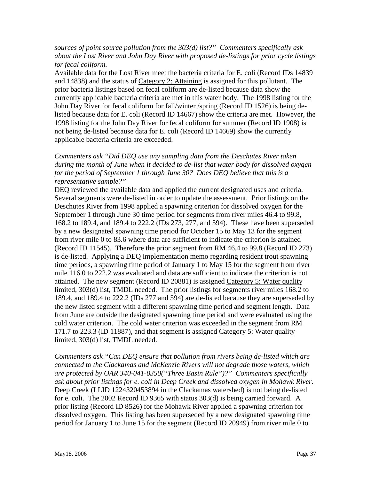#### *sources of point source pollution from the 303(d) list?" Commenters specifically ask about the Lost River and John Day River with proposed de-listings for prior cycle listings for fecal coliform.*

Available data for the Lost River meet the bacteria criteria for E. coli (Record IDs 14839 and 14838) and the status of Category 2: Attaining is assigned for this pollutant. The prior bacteria listings based on fecal coliform are de-listed because data show the currently applicable bacteria criteria are met in this water body. The 1998 listing for the John Day River for fecal coliform for fall/winter /spring (Record ID 1526) is being delisted because data for E. coli (Record ID 14667) show the criteria are met. However, the 1998 listing for the John Day River for fecal coliform for summer (Record ID 1908) is not being de-listed because data for E. coli (Record ID 14669) show the currently applicable bacteria criteria are exceeded.

*Commenters ask "Did DEQ use any sampling data from the Deschutes River taken during the month of June when it decided to de-list that water body for dissolved oxygen for the period of September 1 through June 30? Does DEQ believe that this is a representative sample?"* 

DEQ reviewed the available data and applied the current designated uses and criteria. Several segments were de-listed in order to update the assessment. Prior listings on the Deschutes River from 1998 applied a spawning criterion for dissolved oxygen for the September 1 through June 30 time period for segments from river miles 46.4 to 99.8, 168.2 to 189.4, and 189.4 to 222.2 (IDs 273, 277, and 594). These have been superseded by a new designated spawning time period for October 15 to May 13 for the segment from river mile 0 to 83.6 where data are sufficient to indicate the criterion is attained (Record ID 11545). Therefore the prior segment from RM 46.4 to 99.8 (Record ID 273) is de-listed. Applying a DEQ implementation memo regarding resident trout spawning time periods, a spawning time period of January 1 to May 15 for the segment from river mile 116.0 to 222.2 was evaluated and data are sufficient to indicate the criterion is not attained. The new segment (Record ID 20881) is assigned Category 5: Water quality limited, 303(d) list, TMDL needed. The prior listings for segments river miles 168.2 to 189.4, and 189.4 to 222.2 (IDs 277 and 594) are de-listed because they are superseded by the new listed segment with a different spawning time period and segment length. Data from June are outside the designated spawning time period and were evaluated using the cold water criterion. The cold water criterion was exceeded in the segment from RM 171.7 to 223.3 (ID 11887), and that segment is assigned Category 5: Water quality limited, 303(d) list, TMDL needed.

*Commenters ask "Can DEQ ensure that pollution from rivers being de-listed which are connected to the Clackamas and McKenzie Rivers will not degrade those waters, which are protected by OAR 340-041-0350("Three Basin Rule")?" Commenters specifically ask about prior listings for e. coli in Deep Creek and dissolved oxygen in Mohawk River.*  Deep Creek (LLID 1224320453894 in the Clackamas watershed) is not being de-listed for e. coli. The 2002 Record ID 9365 with status 303(d) is being carried forward. A prior listing (Record ID 8526) for the Mohawk River applied a spawning criterion for dissolved oxygen. This listing has been superseded by a new designated spawning time period for January 1 to June 15 for the segment (Record ID 20949) from river mile 0 to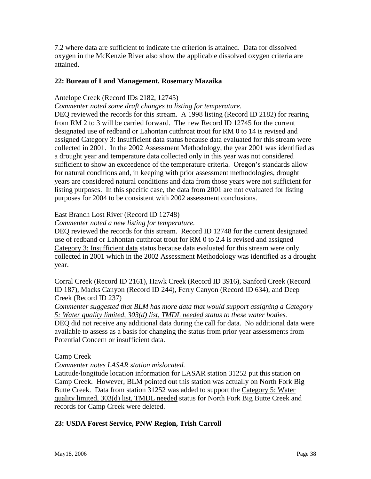7.2 where data are sufficient to indicate the criterion is attained. Data for dissolved oxygen in the McKenzie River also show the applicable dissolved oxygen criteria are attained.

#### **22: Bureau of Land Management, Rosemary Mazaika**

#### Antelope Creek (Record IDs 2182, 12745)

*Commenter noted some draft changes to listing for temperature.* 

DEQ reviewed the records for this stream. A 1998 listing (Record ID 2182) for rearing from RM 2 to 3 will be carried forward. The new Record ID 12745 for the current designated use of redband or Lahontan cutthroat trout for RM 0 to 14 is revised and assigned Category 3: Insufficient data status because data evaluated for this stream were collected in 2001. In the 2002 Assessment Methodology, the year 2001 was identified as a drought year and temperature data collected only in this year was not considered sufficient to show an exceedence of the temperature criteria. Oregon's standards allow for natural conditions and, in keeping with prior assessment methodologies, drought years are considered natural conditions and data from those years were not sufficient for listing purposes. In this specific case, the data from 2001 are not evaluated for listing purposes for 2004 to be consistent with 2002 assessment conclusions.

#### East Branch Lost River (Record ID 12748)

#### *Commenter noted a new listing for temperature.*

DEQ reviewed the records for this stream. Record ID 12748 for the current designated use of redband or Lahontan cutthroat trout for RM 0 to 2.4 is revised and assigned Category 3: Insufficient data status because data evaluated for this stream were only collected in 2001 which in the 2002 Assessment Methodology was identified as a drought year.

Corral Creek (Record ID 2161), Hawk Creek (Record ID 3916), Sanford Creek (Record ID 187), Macks Canyon (Record ID 244), Ferry Canyon (Record ID 634), and Deep Creek (Record ID 237)

*Commenter suggested that BLM has more data that would support assigning a Category 5: Water quality limited, 303(d) list, TMDL needed status to these water bodies.*  DEQ did not receive any additional data during the call for data. No additional data were available to assess as a basis for changing the status from prior year assessments from Potential Concern or insufficient data.

#### Camp Creek

#### *Commenter notes LASAR station mislocated.*

Latitude/longitude location information for LASAR station 31252 put this station on Camp Creek. However, BLM pointed out this station was actually on North Fork Big Butte Creek. Data from station 31252 was added to support the Category 5: Water quality limited, 303(d) list, TMDL needed status for North Fork Big Butte Creek and records for Camp Creek were deleted.

#### **23: USDA Forest Service, PNW Region, Trish Carroll**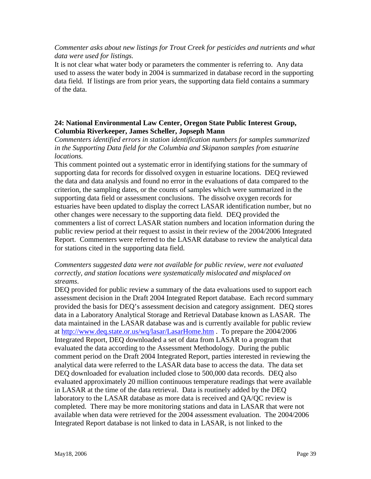#### *Commenter asks about new listings for Trout Creek for pesticides and nutrients and what data were used for listings.*

It is not clear what water body or parameters the commenter is referring to. Any data used to assess the water body in 2004 is summarized in database record in the supporting data field. If listings are from prior years, the supporting data field contains a summary of the data.

#### **24: National Environmental Law Center, Oregon State Public Interest Group, Columbia Riverkeeper, James Scheller, Jopseph Mann**

*Commenters identified errors in station identification numbers for samples summarized in the Supporting Data field for the Columbia and Skipanon samples from estuarine locations.* 

This comment pointed out a systematic error in identifying stations for the summary of supporting data for records for dissolved oxygen in estuarine locations. DEQ reviewed the data and data analysis and found no error in the evaluations of data compared to the criterion, the sampling dates, or the counts of samples which were summarized in the supporting data field or assessment conclusions. The dissolve oxygen records for estuaries have been updated to display the correct LASAR identification number, but no other changes were necessary to the supporting data field. DEQ provided the commenters a list of correct LASAR station numbers and location information during the public review period at their request to assist in their review of the 2004/2006 Integrated Report. Commenters were referred to the LASAR database to review the analytical data for stations cited in the supporting data field.

#### *Commenters suggested data were not available for public review, were not evaluated correctly, and station locations were systematically mislocated and misplaced on streams*.

DEQ provided for public review a summary of the data evaluations used to support each assessment decision in the Draft 2004 Integrated Report database. Each record summary provided the basis for DEQ's assessment decision and category assignment. DEQ stores data in a Laboratory Analytical Storage and Retrieval Database known as LASAR. The data maintained in the LASAR database was and is currently available for public review at <http://www.deq.state.or.us/wq/lasar/LasarHome.htm>. To prepare the 2004/2006 Integrated Report, DEQ downloaded a set of data from LASAR to a program that evaluated the data according to the Assessment Methodology. During the public comment period on the Draft 2004 Integrated Report, parties interested in reviewing the analytical data were referred to the LASAR data base to access the data. The data set DEQ downloaded for evaluation included close to 500,000 data records. DEQ also evaluated approximately 20 million continuous temperature readings that were available in LASAR at the time of the data retrieval. Data is routinely added by the DEQ laboratory to the LASAR database as more data is received and QA/QC review is completed. There may be more monitoring stations and data in LASAR that were not available when data were retrieved for the 2004 assessment evaluation. The 2004/2006 Integrated Report database is not linked to data in LASAR, is not linked to the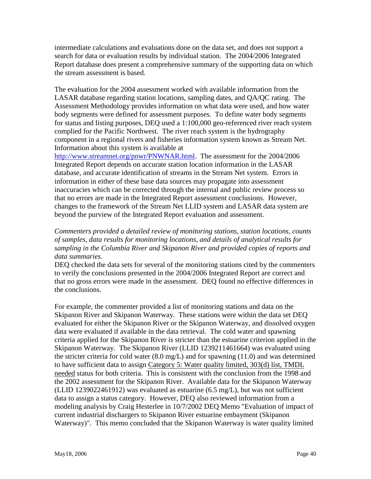intermediate calculations and evaluations done on the data set, and does not support a search for data or evaluation results by individual station. The 2004/2006 Integrated Report database does present a comprehensive summary of the supporting data on which the stream assessment is based.

The evaluation for the 2004 assessment worked with available information from the LASAR database regarding station locations, sampling dates, and QA/QC rating. The Assessment Methodology provides information on what data were used, and how water body segments were defined for assessment purposes. To define water body segments for status and listing purposes, DEQ used a 1:100,000 geo-referenced river reach system complied for the Pacific Northwest. The river reach system is the hydrography component in a regional rivers and fisheries information system known as Stream Net. Information about this system is available at

[http://www.streamnet.org/pnwr/PNWNAR.html.](http://www.streamnet.org/pnwr/PNWNAR.html) The assessment for the 2004/2006 Integrated Report depends on accurate station location information in the LASAR database, and accurate identification of streams in the Stream Net system. Errors in information in either of these base data sources may propagate into assessment inaccuracies which can be corrected through the internal and public review process so that no errors are made in the Integrated Report assessment conclusions. However, changes to the framework of the Stream Net LLID system and LASAR data system are beyond the purview of the Integrated Report evaluation and assessment.

#### *Commenters provided a detailed review of monitoring stations, station locations, counts of samples, data results for monitoring locations, and details of analytical results for sampling in the Columbia River and Skipanon River and provided copies of reports and data summaries.*

DEQ checked the data sets for several of the monitoring stations cited by the commenters to verify the conclusions presented in the 2004/2006 Integrated Report are correct and that no gross errors were made in the assessment. DEQ found no effective differences in the conclusions.

For example, the commenter provided a list of monitoring stations and data on the Skipanon River and Skipanon Waterway. These stations were within the data set DEQ evaluated for either the Skipanon River or the Skipanon Waterway, and dissolved oxygen data were evaluated if available in the data retrieval. The cold water and spawning criteria applied for the Skipanon River is stricter than the estuarine criterion applied in the Skipanon Waterway. The Skipanon River (LLID 1239211461664) was evaluated using the stricter criteria for cold water (8.0 mg/L) and for spawning (11.0) and was determined to have sufficient data to assign Category 5: Water quality limited, 303(d) list, TMDL needed status for both criteria. This is consistent with the conclusion from the 1998 and the 2002 assessment for the Skipanon River. Available data for the Skipanon Waterway (LLID 1239022461912) was evaluated as estuarine (6.5 mg/L), but was not sufficient data to assign a status category. However, DEQ also reviewed information from a modeling analysis by Craig Hesterlee in 10/7/2002 DEQ Memo "Evaluation of impact of current industrial dischargers to Skipanon River estuarine embayment (Skipanon Waterway)". This memo concluded that the Skipanon Waterway is water quality limited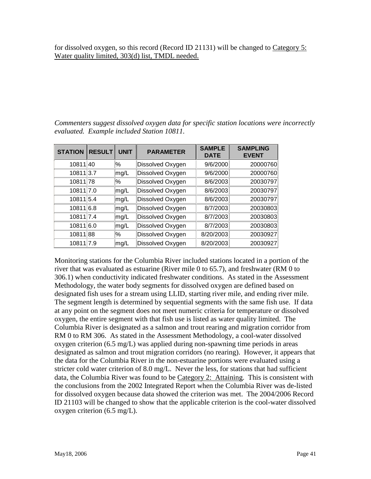for dissolved oxygen, so this record (Record ID 21131) will be changed to Category 5: Water quality limited, 303(d) list, TMDL needed.

*Commenters suggest dissolved oxygen data for specific station locations were incorrectly evaluated. Example included Station 10811.* 

| <b>STATION</b> | <b>RESULT</b> | <b>UNIT</b> | <b>PARAMETER</b> | <b>SAMPLE</b><br><b>DATE</b> | <b>SAMPLING</b><br><b>EVENT</b> |
|----------------|---------------|-------------|------------------|------------------------------|---------------------------------|
| 10811 40       |               | $\%$        | Dissolved Oxygen | 9/6/2000                     | 20000760                        |
| 10811 3.7      |               | mg/L        | Dissolved Oxygen | 9/6/2000                     | 20000760                        |
| 10811 78       |               | %           | Dissolved Oxygen | 8/6/2003                     | 20030797                        |
| 10811 7.0      |               | mg/L        | Dissolved Oxygen | 8/6/2003                     | 20030797                        |
| 10811 5.4      |               | mg/L        | Dissolved Oxygen | 8/6/2003                     | 20030797                        |
| 10811 6.8      |               | mg/L        | Dissolved Oxygen | 8/7/2003                     | 20030803                        |
| 10811 7.4      |               | mg/L        | Dissolved Oxygen | 8/7/2003                     | 20030803                        |
| 10811 6.0      |               | mg/L        | Dissolved Oxygen | 8/7/2003                     | 20030803                        |
| 10811 88       |               | ℅           | Dissolved Oxygen | 8/20/2003                    | 20030927                        |
| 10811 7.9      |               | mg/L        | Dissolved Oxygen | 8/20/2003                    | 20030927                        |

Monitoring stations for the Columbia River included stations located in a portion of the river that was evaluated as estuarine (River mile 0 to 65.7), and freshwater (RM 0 to 306.1) when conductivity indicated freshwater conditions. As stated in the Assessment Methodology, the water body segments for dissolved oxygen are defined based on designated fish uses for a stream using LLID, starting river mile, and ending river mile. The segment length is determined by sequential segments with the same fish use. If data at any point on the segment does not meet numeric criteria for temperature or dissolved oxygen, the entire segment with that fish use is listed as water quality limited. The Columbia River is designated as a salmon and trout rearing and migration corridor from RM 0 to RM 306. As stated in the Assessment Methodology, a cool-water dissolved oxygen criterion (6.5 mg/L) was applied during non-spawning time periods in areas designated as salmon and trout migration corridors (no rearing). However, it appears that the data for the Columbia River in the non-estuarine portions were evaluated using a stricter cold water criterion of 8.0 mg/L. Never the less, for stations that had sufficient data, the Columbia River was found to be Category 2: Attaining. This is consistent with the conclusions from the 2002 Integrated Report when the Columbia River was de-listed for dissolved oxygen because data showed the criterion was met. The 2004/2006 Record ID 21103 will be changed to show that the applicable criterion is the cool-water dissolved oxygen criterion (6.5 mg/L).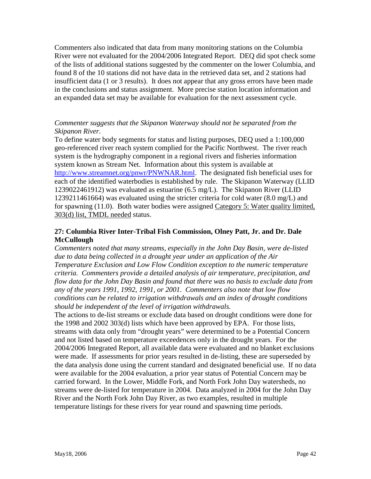Commenters also indicated that data from many monitoring stations on the Columbia River were not evaluated for the 2004/2006 Integrated Report. DEQ did spot check some of the lists of additional stations suggested by the commenter on the lower Columbia, and found 8 of the 10 stations did not have data in the retrieved data set, and 2 stations had insufficient data (1 or 3 results). It does not appear that any gross errors have been made in the conclusions and status assignment. More precise station location information and an expanded data set may be available for evaluation for the next assessment cycle.

#### *Commenter suggests that the Skipanon Waterway should not be separated from the Skipanon River.*

To define water body segments for status and listing purposes, DEQ used a 1:100,000 geo-referenced river reach system complied for the Pacific Northwest. The river reach system is the hydrography component in a regional rivers and fisheries information system known as Stream Net. Information about this system is available at [http://www.streamnet.org/pnwr/PNWNAR.html.](http://www.streamnet.org/pnwr/PNWNAR.html) The designated fish beneficial uses for each of the identified waterbodies is established by rule. The Skipanon Waterway (LLID 1239022461912) was evaluated as estuarine (6.5 mg/L). The Skipanon River (LLID 1239211461664) was evaluated using the stricter criteria for cold water (8.0 mg/L) and for spawning (11.0). Both water bodies were assigned Category 5: Water quality limited, 303(d) list, TMDL needed status.

#### **27: Columbia River Inter-Tribal Fish Commission, Olney Patt, Jr. and Dr. Dale McCullough**

*Commenters noted that many streams, especially in the John Day Basin, were de-listed due to data being collected in a drought year under an application of the Air Temperature Exclusion and Low Flow Condition exception to the numeric temperature criteria. Commenters provide a detailed analysis of air temperature, precipitation, and flow data for the John Day Basin and found that there was no basis to exclude data from any of the years 1991, 1992, 1991, or 2001. Commenters also note that low flow conditions can be related to irrigation withdrawals and an index of drought conditions should be independent of the level of irrigation withdrawals.* 

The actions to de-list streams or exclude data based on drought conditions were done for the 1998 and 2002 303(d) lists which have been approved by EPA. For those lists, streams with data only from "drought years" were determined to be a Potential Concern and not listed based on temperature exceedences only in the drought years. For the 2004/2006 Integrated Report, all available data were evaluated and no blanket exclusions were made. If assessments for prior years resulted in de-listing, these are superseded by the data analysis done using the current standard and designated beneficial use. If no data were available for the 2004 evaluation, a prior year status of Potential Concern may be carried forward. In the Lower, Middle Fork, and North Fork John Day watersheds, no streams were de-listed for temperature in 2004. Data analyzed in 2004 for the John Day River and the North Fork John Day River, as two examples, resulted in multiple temperature listings for these rivers for year round and spawning time periods.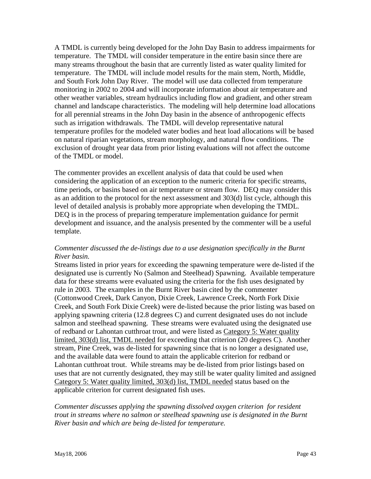A TMDL is currently being developed for the John Day Basin to address impairments for temperature. The TMDL will consider temperature in the entire basin since there are many streams throughout the basin that are currently listed as water quality limited for temperature. The TMDL will include model results for the main stem, North, Middle, and South Fork John Day River. The model will use data collected from temperature monitoring in 2002 to 2004 and will incorporate information about air temperature and other weather variables, stream hydraulics including flow and gradient, and other stream channel and landscape characteristics. The modeling will help determine load allocations for all perennial streams in the John Day basin in the absence of anthropogenic effects such as irrigation withdrawals. The TMDL will develop representative natural temperature profiles for the modeled water bodies and heat load allocations will be based on natural riparian vegetations, stream morphology, and natural flow conditions. The exclusion of drought year data from prior listing evaluations will not affect the outcome of the TMDL or model.

The commenter provides an excellent analysis of data that could be used when considering the application of an exception to the numeric criteria for specific streams, time periods, or basins based on air temperature or stream flow. DEQ may consider this as an addition to the protocol for the next assessment and 303(d) list cycle, although this level of detailed analysis is probably more appropriate when developing the TMDL. DEQ is in the process of preparing temperature implementation guidance for permit development and issuance, and the analysis presented by the commenter will be a useful template.

#### *Commenter discussed the de-listings due to a use designation specifically in the Burnt River basin.*

Streams listed in prior years for exceeding the spawning temperature were de-listed if the designated use is currently No (Salmon and Steelhead) Spawning. Available temperature data for these streams were evaluated using the criteria for the fish uses designated by rule in 2003. The examples in the Burnt River basin cited by the commenter (Cottonwood Creek, Dark Canyon, Dixie Creek, Lawrence Creek, North Fork Dixie Creek, and South Fork Dixie Creek) were de-listed because the prior listing was based on applying spawning criteria (12.8 degrees C) and current designated uses do not include salmon and steelhead spawning. These streams were evaluated using the designated use of redband or Lahontan cutthroat trout, and were listed as Category 5: Water quality limited, 303(d) list, TMDL needed for exceeding that criterion (20 degrees C). Another stream, Pine Creek, was de-listed for spawning since that is no longer a designated use, and the available data were found to attain the applicable criterion for redband or Lahontan cutthroat trout. While streams may be de-listed from prior listings based on uses that are not currently designated, they may still be water quality limited and assigned Category 5: Water quality limited, 303(d) list, TMDL needed status based on the applicable criterion for current designated fish uses.

#### *Commenter discusses applying the spawning dissolved oxygen criterion for resident trout in streams where no salmon or steelhead spawning use is designated in the Burnt River basin and which are being de-listed for temperature.*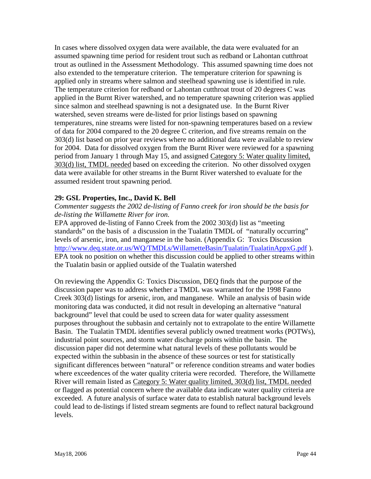In cases where dissolved oxygen data were available, the data were evaluated for an assumed spawning time period for resident trout such as redband or Lahontan cutthroat trout as outlined in the Assessment Methodology. This assumed spawning time does not also extended to the temperature criterion. The temperature criterion for spawning is applied only in streams where salmon and steelhead spawning use is identified in rule. The temperature criterion for redband or Lahontan cutthroat trout of 20 degrees C was applied in the Burnt River watershed, and no temperature spawning criterion was applied since salmon and steelhead spawning is not a designated use. In the Burnt River watershed, seven streams were de-listed for prior listings based on spawning temperatures, nine streams were listed for non-spawning temperatures based on a review of data for 2004 compared to the 20 degree C criterion, and five streams remain on the 303(d) list based on prior year reviews where no additional data were available to review for 2004. Data for dissolved oxygen from the Burnt River were reviewed for a spawning period from January 1 through May 15, and assigned Category 5: Water quality limited, 303(d) list, TMDL needed based on exceeding the criterion. No other dissolved oxygen data were available for other streams in the Burnt River watershed to evaluate for the assumed resident trout spawning period.

#### **29: GSL Properties, Inc., David K. Bell**

*Commenter suggests the 2002 de-listing of Fanno creek for iron should be the basis for de-listing the Willamette River for iron.* 

EPA approved de-listing of Fanno Creek from the 2002 303(d) list as "meeting standards" on the basis of a discussion in the Tualatin TMDL of "naturally occurring" levels of arsenic, iron, and manganese in the basin. (Appendix G: Toxics Discussion http://www.deq.state.or.us/WQ/TMDLs/WillametteBasin/Tualatin/TualatinAppxG.pdf). EPA took no position on whether this discussion could be applied to other streams within the Tualatin basin or applied outside of the Tualatin watershed

On reviewing the Appendix G: Toxics Discussion, DEQ finds that the purpose of the discussion paper was to address whether a TMDL was warranted for the 1998 Fanno Creek 303(d) listings for arsenic, iron, and manganese. While an analysis of basin wide monitoring data was conducted, it did not result in developing an alternative "natural background" level that could be used to screen data for water quality assessment purposes throughout the subbasin and certainly not to extrapolate to the entire Willamette Basin. The Tualatin TMDL identifies several publicly owned treatment works (POTWs), industrial point sources, and storm water discharge points within the basin. The discussion paper did not determine what natural levels of these pollutants would be expected within the subbasin in the absence of these sources or test for statistically significant differences between "natural" or reference condition streams and water bodies where exceedences of the water quality criteria were recorded. Therefore, the Willamette River will remain listed as Category 5: Water quality limited, 303(d) list, TMDL needed or flagged as potential concern where the available data indicate water quality criteria are exceeded. A future analysis of surface water data to establish natural background levels could lead to de-listings if listed stream segments are found to reflect natural background levels.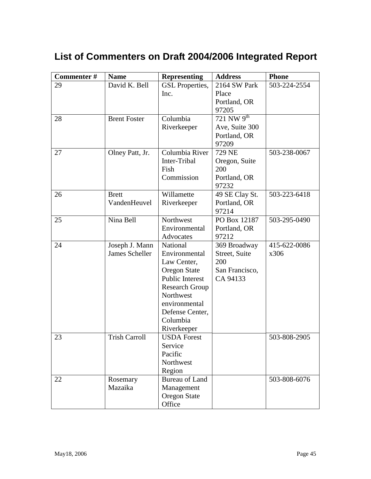## <span id="page-46-0"></span>**List of Commenters on Draft 2004/2006 Integrated Report**

| Commenter# | <b>Name</b>          | <b>Representing</b>    | <b>Address</b>  | <b>Phone</b> |
|------------|----------------------|------------------------|-----------------|--------------|
| 29         | David K. Bell        | <b>GSL</b> Properties, | 2164 SW Park    | 503-224-2554 |
|            |                      | Inc.                   | Place           |              |
|            |                      |                        | Portland, OR    |              |
|            |                      |                        | 97205           |              |
| 28         | <b>Brent Foster</b>  | Columbia               | 721 NW $9^{th}$ |              |
|            |                      | Riverkeeper            | Ave, Suite 300  |              |
|            |                      |                        | Portland, OR    |              |
|            |                      |                        | 97209           |              |
| 27         | Olney Patt, Jr.      | Columbia River         | 729 NE          | 503-238-0067 |
|            |                      | Inter-Tribal           | Oregon, Suite   |              |
|            |                      | Fish                   | 200             |              |
|            |                      | Commission             | Portland, OR    |              |
|            |                      |                        | 97232           |              |
| 26         | <b>Brett</b>         | Willamette             | 49 SE Clay St.  | 503-223-6418 |
|            | VandenHeuvel         | Riverkeeper            | Portland, OR    |              |
|            |                      |                        | 97214           |              |
| 25         | Nina Bell            | Northwest              | PO Box 12187    | 503-295-0490 |
|            |                      | Environmental          | Portland, OR    |              |
|            |                      | Advocates              | 97212           |              |
| 24         | Joseph J. Mann       | National               | 369 Broadway    | 415-622-0086 |
|            | James Scheller       | Environmental          | Street, Suite   | x306         |
|            |                      | Law Center,            | 200             |              |
|            |                      | <b>Oregon State</b>    | San Francisco,  |              |
|            |                      | Public Interest        | CA 94133        |              |
|            |                      | <b>Research Group</b>  |                 |              |
|            |                      | Northwest              |                 |              |
|            |                      | environmental          |                 |              |
|            |                      | Defense Center,        |                 |              |
|            |                      | Columbia               |                 |              |
|            |                      | Riverkeeper            |                 |              |
| 23         | <b>Trish Carroll</b> | <b>USDA</b> Forest     |                 | 503-808-2905 |
|            |                      | Service                |                 |              |
|            |                      | Pacific<br>Northwest   |                 |              |
|            |                      |                        |                 |              |
|            |                      | Region                 |                 | 503-808-6076 |
| 22         | Rosemary<br>Mazaika  | <b>Bureau of Land</b>  |                 |              |
|            |                      | Management             |                 |              |
|            |                      | <b>Oregon State</b>    |                 |              |
|            |                      | Office                 |                 |              |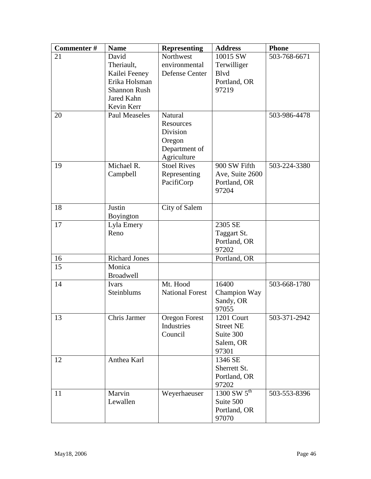| Commenter# | <b>Name</b>          | <b>Representing</b>    | <b>Address</b>        | <b>Phone</b> |
|------------|----------------------|------------------------|-----------------------|--------------|
| 21         | David                | Northwest              | 10015 SW              | 503-768-6671 |
|            | Theriault,           | environmental          | Terwilliger           |              |
|            | Kailei Feeney        | <b>Defense Center</b>  | <b>B</b> lvd          |              |
|            | Erika Holsman        |                        | Portland, OR          |              |
|            | <b>Shannon Rush</b>  |                        | 97219                 |              |
|            | Jared Kahn           |                        |                       |              |
|            | Kevin Kerr           |                        |                       |              |
| 20         | <b>Paul Measeles</b> | <b>Natural</b>         |                       | 503-986-4478 |
|            |                      | Resources              |                       |              |
|            |                      | Division               |                       |              |
|            |                      | Oregon                 |                       |              |
|            |                      | Department of          |                       |              |
|            |                      | Agriculture            |                       |              |
| 19         | Michael R.           | <b>Stoel Rives</b>     | 900 SW Fifth          | 503-224-3380 |
|            | Campbell             | Representing           | Ave, Suite 2600       |              |
|            |                      | PacifiCorp             | Portland, OR          |              |
|            |                      |                        | 97204                 |              |
|            |                      |                        |                       |              |
| 18         | Justin               | City of Salem          |                       |              |
|            | Boyington            |                        |                       |              |
| 17         | Lyla Emery           |                        | 2305 SE               |              |
|            | Reno                 |                        | Taggart St.           |              |
|            |                      |                        | Portland, OR          |              |
|            |                      |                        | 97202                 |              |
| 16         | <b>Richard Jones</b> |                        | Portland, OR          |              |
| 15         | Monica               |                        |                       |              |
|            | <b>Broadwell</b>     |                        |                       |              |
| 14         | Ivars                | Mt. Hood               | 16400                 | 503-668-1780 |
|            | Steinblums           | <b>National Forest</b> | Champion Way          |              |
|            |                      |                        | Sandy, OR             |              |
|            |                      |                        | 97055                 |              |
| 13         | Chris Jarmer         | Oregon Forest          | 1201 Court            | 503-371-2942 |
|            |                      | Industries             | <b>Street NE</b>      |              |
|            |                      | Council                | Suite 300             |              |
|            |                      |                        | Salem, OR             |              |
|            |                      |                        | 97301                 |              |
| 12         | Anthea Karl          |                        | 1346 SE               |              |
|            |                      |                        | Sherrett St.          |              |
|            |                      |                        | Portland, OR<br>97202 |              |
| 11         | Marvin               |                        | $1300$ SW $5th$       |              |
|            | Lewallen             | Weyerhaeuser           | Suite 500             | 503-553-8396 |
|            |                      |                        |                       |              |
|            |                      |                        | Portland, OR          |              |
|            |                      |                        | 97070                 |              |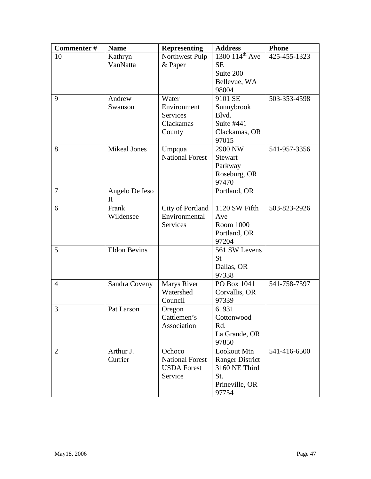| Commenter#     | <b>Name</b>         | <b>Representing</b>    | <b>Address</b>               | <b>Phone</b> |
|----------------|---------------------|------------------------|------------------------------|--------------|
| 10             | Kathryn             | Northwest Pulp         | $1300$ $114^{\text{th}}$ Ave | 425-455-1323 |
|                | VanNatta            | & Paper                | <b>SE</b>                    |              |
|                |                     |                        | Suite 200                    |              |
|                |                     |                        | Bellevue, WA                 |              |
|                |                     |                        | 98004                        |              |
| 9              | Andrew              | Water                  | 9101 SE                      | 503-353-4598 |
|                | Swanson             | Environment            | Sunnybrook                   |              |
|                |                     | <b>Services</b>        | Blvd.                        |              |
|                |                     | Clackamas              | Suite #441                   |              |
|                |                     | County                 | Clackamas, OR                |              |
|                |                     |                        | 97015                        |              |
| 8              | <b>Mikeal Jones</b> | Umpqua                 | 2900 NW                      | 541-957-3356 |
|                |                     | <b>National Forest</b> | <b>Stewart</b>               |              |
|                |                     |                        | Parkway                      |              |
|                |                     |                        | Roseburg, OR                 |              |
|                |                     |                        | 97470                        |              |
| $\overline{7}$ | Angelo De Ieso      |                        | Portland, OR                 |              |
|                | $\rm II$            |                        |                              |              |
| 6              | Frank               | City of Portland       | 1120 SW Fifth                | 503-823-2926 |
|                | Wildensee           | Environmental          | Ave                          |              |
|                |                     | <b>Services</b>        | Room 1000                    |              |
|                |                     |                        | Portland, OR                 |              |
|                |                     |                        | 97204                        |              |
| 5              | <b>Eldon Bevins</b> |                        | 561 SW Levens                |              |
|                |                     |                        | St                           |              |
|                |                     |                        | Dallas, OR                   |              |
|                |                     |                        | 97338                        |              |
| $\overline{4}$ | Sandra Coveny       | <b>Marys River</b>     | PO Box 1041                  | 541-758-7597 |
|                |                     | Watershed              | Corvallis, OR                |              |
|                |                     | Council                | 97339                        |              |
| 3              | Pat Larson          | Oregon                 | 61931                        |              |
|                |                     | Cattlemen's            | Cottonwood                   |              |
|                |                     | Association            | Rd.                          |              |
|                |                     |                        | La Grande, OR                |              |
|                |                     |                        | 97850                        |              |
| $\overline{2}$ | Arthur J.           | Ochoco                 | Lookout Mtn                  | 541-416-6500 |
|                | Currier             | <b>National Forest</b> | <b>Ranger District</b>       |              |
|                |                     | <b>USDA</b> Forest     | 3160 NE Third                |              |
|                |                     | Service                | St.                          |              |
|                |                     |                        | Prineville, OR               |              |
|                |                     |                        | 97754                        |              |